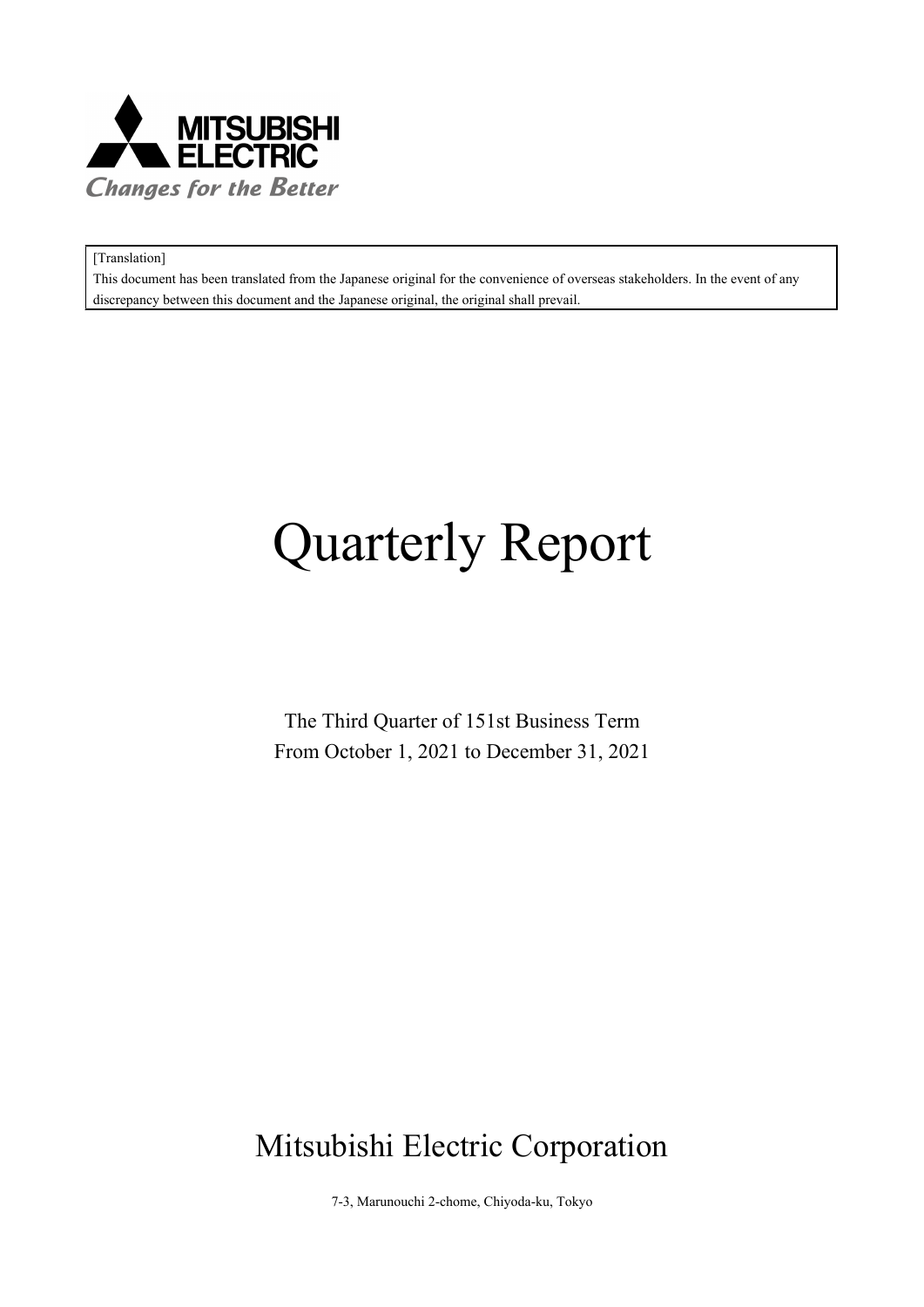

[Translation]

This document has been translated from the Japanese original for the convenience of overseas stakeholders. In the event of any discrepancy between this document and the Japanese original, the original shall prevail.

# **Quarterly Report**

The Third Quarter of 151st Business Term From October 1, 2021 to December 31, 2021

## Mitsubishi Electric Corporation

7-3, Marunouchi 2-chome, Chiyoda-ku, Tokyo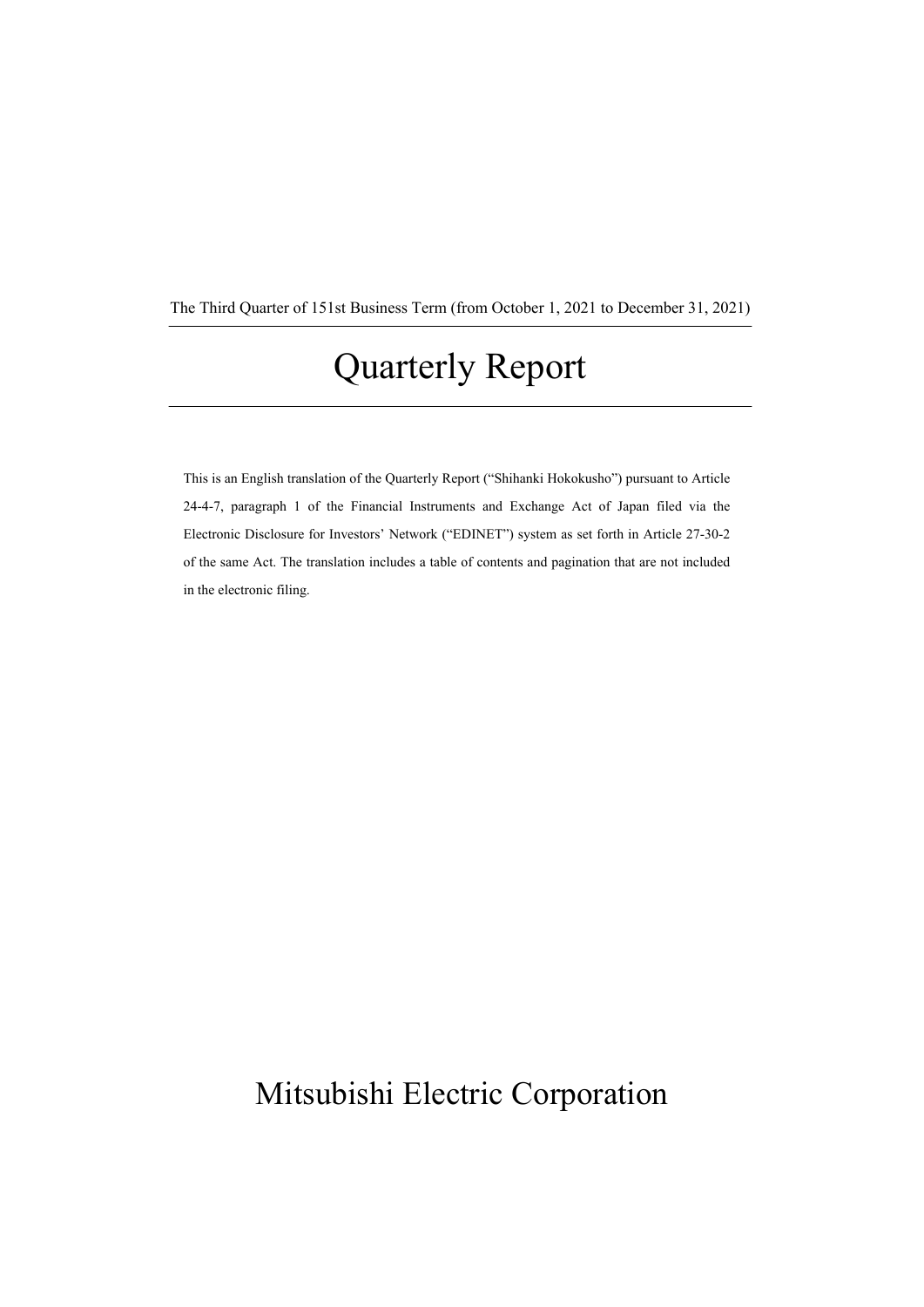The Third Quarter of 151st Business Term (from October 1, 2021 to December 31, 2021)

## **Quarterly Report**

This is an English translation of the Quarterly Report ("Shihanki Hokokusho") pursuant to Article 24-4-7, paragraph 1 of the Financial Instruments and Exchange Act of Japan filed via the Electronic Disclosure for Investors' Network ("EDINET") system as set forth in Article 27-30-2 of the same Act. The translation includes a table of contents and pagination that are not included in the electronic filing.

## Mitsubishi Electric Corporation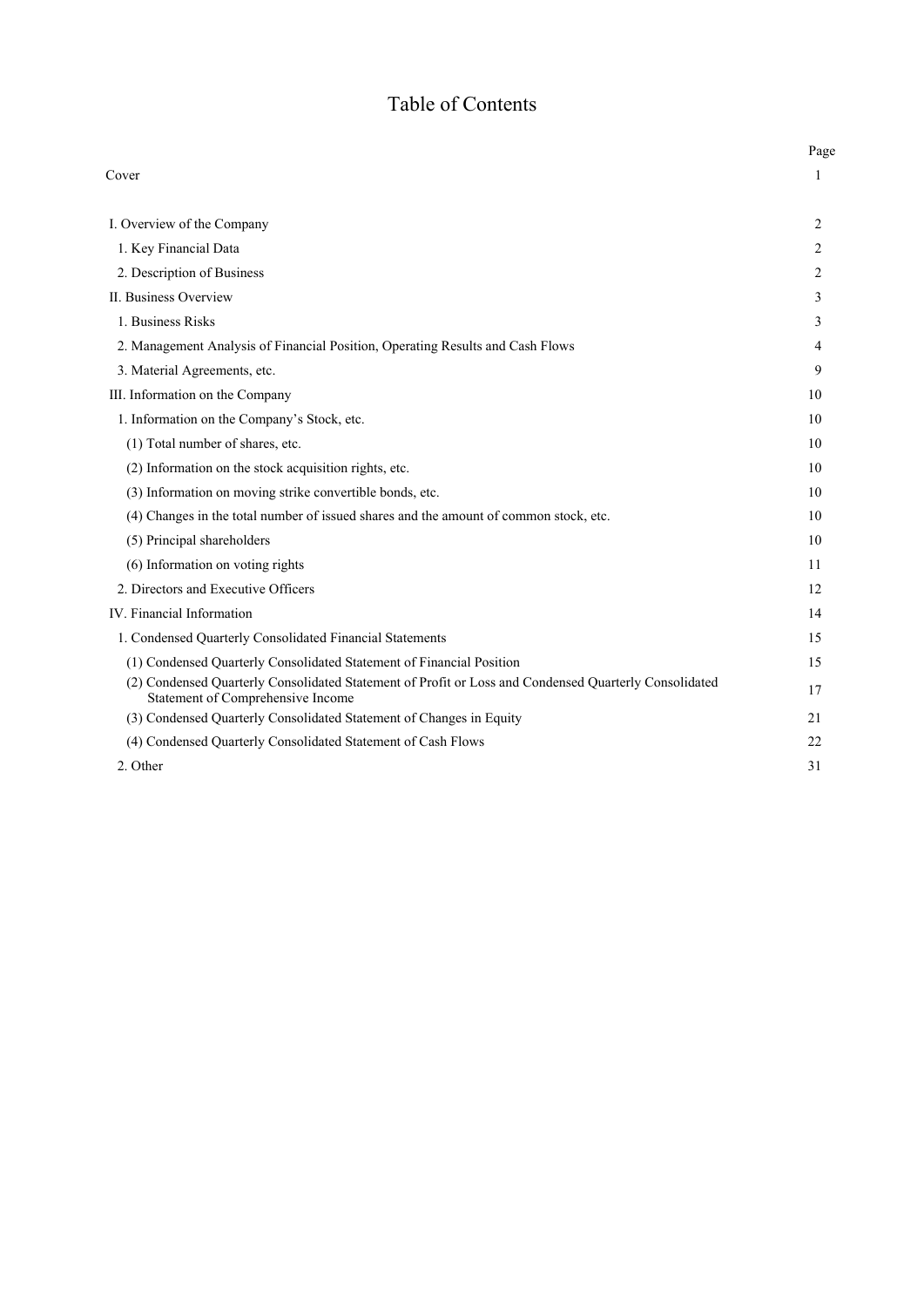## Table of Contents

|                                                                                                                                            | Page |
|--------------------------------------------------------------------------------------------------------------------------------------------|------|
| Cover                                                                                                                                      | 1    |
| I. Overview of the Company                                                                                                                 | 2    |
| 1. Key Financial Data                                                                                                                      | 2    |
| 2. Description of Business                                                                                                                 | 2    |
| II. Business Overview                                                                                                                      | 3    |
| 1. Business Risks                                                                                                                          | 3    |
| 2. Management Analysis of Financial Position, Operating Results and Cash Flows                                                             | 4    |
| 3. Material Agreements, etc.                                                                                                               | 9    |
| III. Information on the Company                                                                                                            | 10   |
| 1. Information on the Company's Stock, etc.                                                                                                | 10   |
| (1) Total number of shares, etc.                                                                                                           | 10   |
| (2) Information on the stock acquisition rights, etc.                                                                                      | 10   |
| (3) Information on moving strike convertible bonds, etc.                                                                                   | 10   |
| (4) Changes in the total number of issued shares and the amount of common stock, etc.                                                      | 10   |
| (5) Principal shareholders                                                                                                                 | 10   |
| (6) Information on voting rights                                                                                                           | 11   |
| 2. Directors and Executive Officers                                                                                                        | 12   |
| IV. Financial Information                                                                                                                  | 14   |
| 1. Condensed Quarterly Consolidated Financial Statements                                                                                   | 15   |
| (1) Condensed Quarterly Consolidated Statement of Financial Position                                                                       | 15   |
| (2) Condensed Quarterly Consolidated Statement of Profit or Loss and Condensed Quarterly Consolidated<br>Statement of Comprehensive Income | 17   |
| (3) Condensed Quarterly Consolidated Statement of Changes in Equity                                                                        | 21   |
| (4) Condensed Quarterly Consolidated Statement of Cash Flows                                                                               | 22   |
| 2. Other                                                                                                                                   | 31   |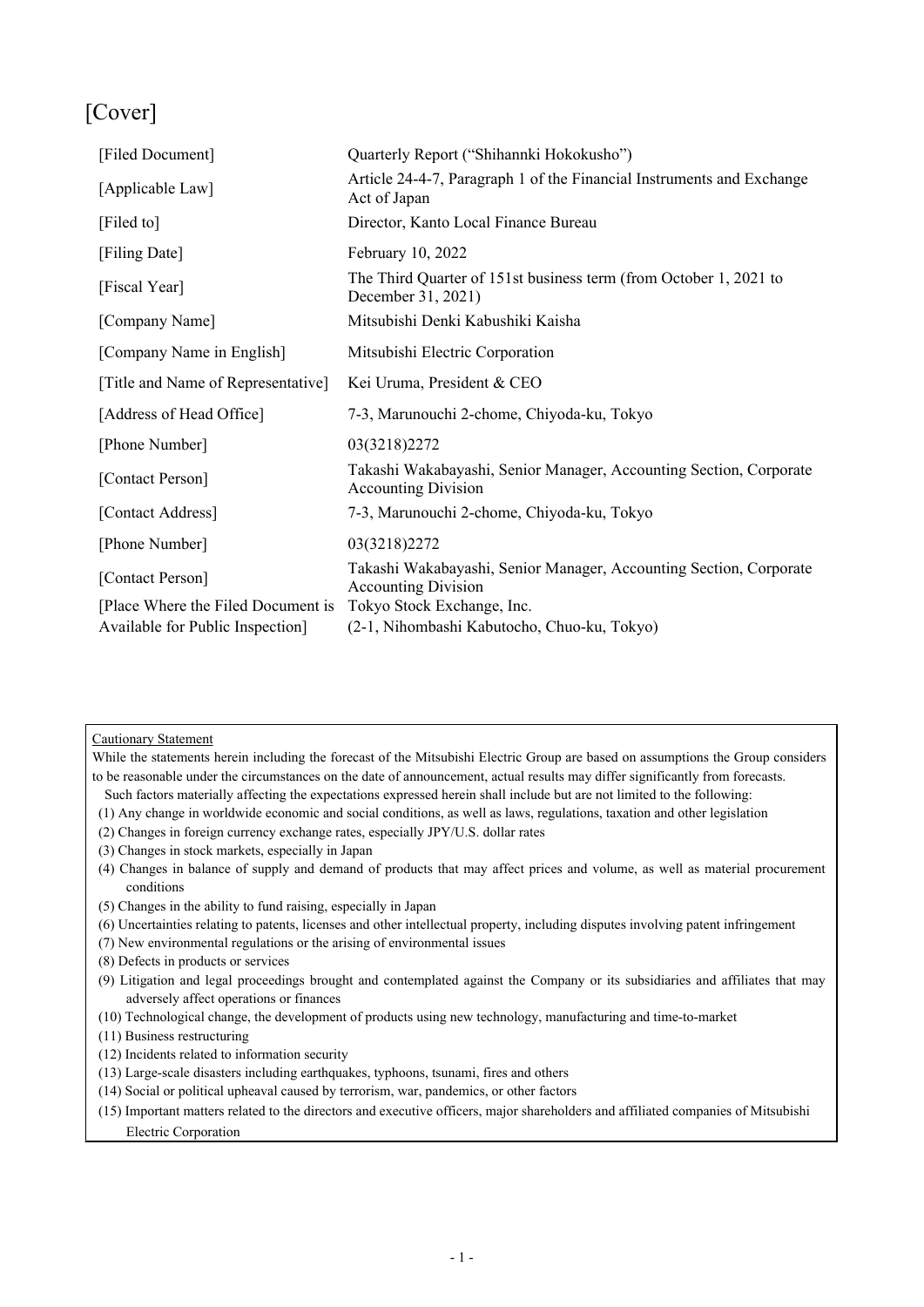## [Cover]

| [Filed Document]                   | Quarterly Report ("Shihannki Hokokusho")                                                         |
|------------------------------------|--------------------------------------------------------------------------------------------------|
| [Applicable Law]                   | Article 24-4-7, Paragraph 1 of the Financial Instruments and Exchange<br>Act of Japan            |
| [Filed to]                         | Director, Kanto Local Finance Bureau                                                             |
| [Filing Date]                      | February 10, 2022                                                                                |
| [Fiscal Year]                      | The Third Quarter of 151st business term (from October 1, 2021 to<br>December 31, 2021)          |
| [Company Name]                     | Mitsubishi Denki Kabushiki Kaisha                                                                |
| [Company Name in English]          | Mitsubishi Electric Corporation                                                                  |
| [Title and Name of Representative] | Kei Uruma, President & CEO                                                                       |
| [Address of Head Office]           | 7-3, Marunouchi 2-chome, Chiyoda-ku, Tokyo                                                       |
| [Phone Number]                     | 03(3218)2272                                                                                     |
| [Contact Person]                   | Takashi Wakabayashi, Senior Manager, Accounting Section, Corporate<br><b>Accounting Division</b> |
| [Contact Address]                  | 7-3, Marunouchi 2-chome, Chiyoda-ku, Tokyo                                                       |
| [Phone Number]                     | 03(3218)2272                                                                                     |
| [Contact Person]                   | Takashi Wakabayashi, Senior Manager, Accounting Section, Corporate<br><b>Accounting Division</b> |
| [Place Where the Filed Document is | Tokyo Stock Exchange, Inc.                                                                       |
| Available for Public Inspection]   | (2-1, Nihombashi Kabutocho, Chuo-ku, Tokyo)                                                      |

## Cautionary Statement

While the statements herein including the forecast of the Mitsubishi Electric Group are based on assumptions the Group considers to be reasonable under the circumstances on the date of announcement, actual results may differ significantly from forecasts.

- Such factors materially affecting the expectations expressed herein shall include but are not limited to the following:
- (1) Any change in worldwide economic and social conditions, as well as laws, regulations, taxation and other legislation
- (2) Changes in foreign currency exchange rates, especially JPY/U.S. dollar rates
- (3) Changes in stock markets, especially in Japan
- (4) Changes in balance of supply and demand of products that may affect prices and volume, as well as material procurement conditions
- (5) Changes in the ability to fund raising, especially in Japan
- (6) Uncertainties relating to patents, licenses and other intellectual property, including disputes involving patent infringement
- (7) New environmental regulations or the arising of environmental issues
- (8) Defects in products or services
- (9) Litigation and legal proceedings brought and contemplated against the Company or its subsidiaries and affiliates that may adversely affect operations or finances
- (10) Technological change, the development of products using new technology, manufacturing and time-to-market
- (11) Business restructuring
- (12) Incidents related to information security
- (13) Large-scale disasters including earthquakes, typhoons, tsunami, fires and others
- (14) Social or political upheaval caused by terrorism, war, pandemics, or other factors
- (15) Important matters related to the directors and executive officers, major shareholders and affiliated companies of Mitsubishi Electric Corporation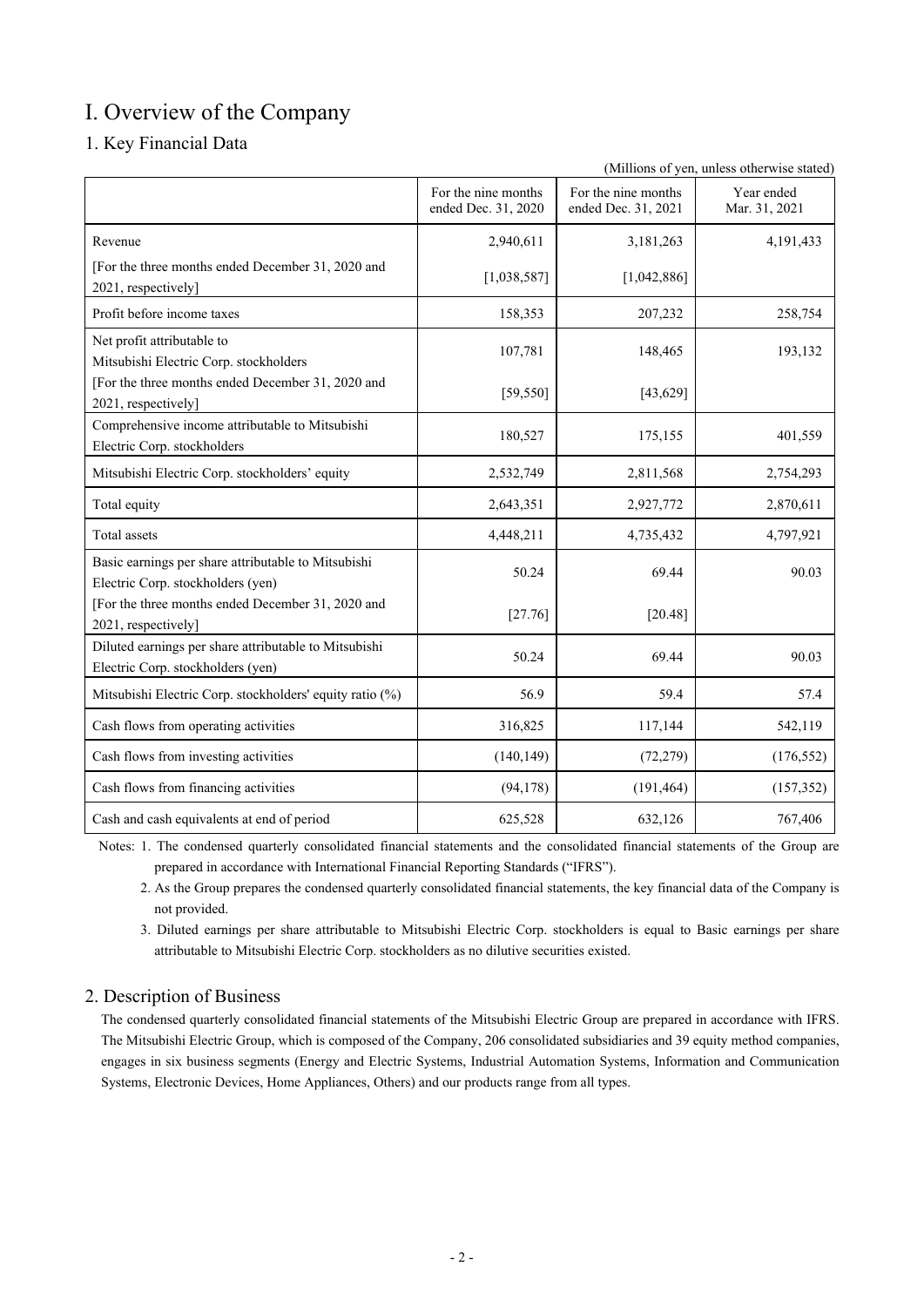## Ⅰ. Overview of the Company

## 1. Key Financial Data

(Millions of yen, unless otherwise stated)

|                                                                                            | For the nine months<br>ended Dec. 31, 2020 | For the nine months<br>ended Dec. 31, 2021 | Year ended<br>Mar. 31, 2021 |
|--------------------------------------------------------------------------------------------|--------------------------------------------|--------------------------------------------|-----------------------------|
| Revenue                                                                                    | 2,940,611                                  | 3,181,263                                  | 4,191,433                   |
| [For the three months ended December 31, 2020 and<br>2021, respectively]                   | [1,038,587]                                | [1,042,886]                                |                             |
| Profit before income taxes                                                                 | 158,353                                    | 207,232                                    | 258,754                     |
| Net profit attributable to<br>Mitsubishi Electric Corp. stockholders                       | 107,781                                    | 148,465                                    | 193,132                     |
| [For the three months ended December 31, 2020 and<br>2021, respectively]                   | [59, 550]                                  | [43, 629]                                  |                             |
| Comprehensive income attributable to Mitsubishi<br>Electric Corp. stockholders             | 180,527                                    | 175,155                                    | 401,559                     |
| Mitsubishi Electric Corp. stockholders' equity                                             | 2,532,749                                  | 2,811,568                                  | 2,754,293                   |
| Total equity                                                                               | 2,643,351                                  | 2,927,772                                  | 2,870,611                   |
| Total assets                                                                               | 4,448,211                                  | 4,735,432                                  | 4,797,921                   |
| Basic earnings per share attributable to Mitsubishi<br>Electric Corp. stockholders (yen)   | 50.24                                      | 69.44                                      | 90.03                       |
| [For the three months ended December 31, 2020 and<br>2021, respectively]                   | [27.76]                                    | $[20.48]$                                  |                             |
| Diluted earnings per share attributable to Mitsubishi<br>Electric Corp. stockholders (yen) | 50.24                                      | 69.44                                      | 90.03                       |
| Mitsubishi Electric Corp. stockholders' equity ratio (%)                                   | 56.9                                       | 59.4                                       | 57.4                        |
| Cash flows from operating activities                                                       | 316,825                                    | 117,144                                    | 542,119                     |
| Cash flows from investing activities                                                       | (140, 149)                                 | (72, 279)                                  | (176, 552)                  |
| Cash flows from financing activities                                                       | (94, 178)                                  | (191, 464)                                 | (157, 352)                  |
| Cash and cash equivalents at end of period                                                 | 625,528                                    | 632,126                                    | 767,406                     |

Notes: 1. The condensed quarterly consolidated financial statements and the consolidated financial statements of the Group are prepared in accordance with International Financial Reporting Standards ("IFRS").

2. As the Group prepares the condensed quarterly consolidated financial statements, the key financial data of the Company is not provided.

3. Diluted earnings per share attributable to Mitsubishi Electric Corp. stockholders is equal to Basic earnings per share attributable to Mitsubishi Electric Corp. stockholders as no dilutive securities existed.

## 2. Description of Business

The condensed quarterly consolidated financial statements of the Mitsubishi Electric Group are prepared in accordance with IFRS. The Mitsubishi Electric Group, which is composed of the Company, 206 consolidated subsidiaries and 39 equity method companies, engages in six business segments (Energy and Electric Systems, Industrial Automation Systems, Information and Communication Systems, Electronic Devices, Home Appliances, Others) and our products range from all types.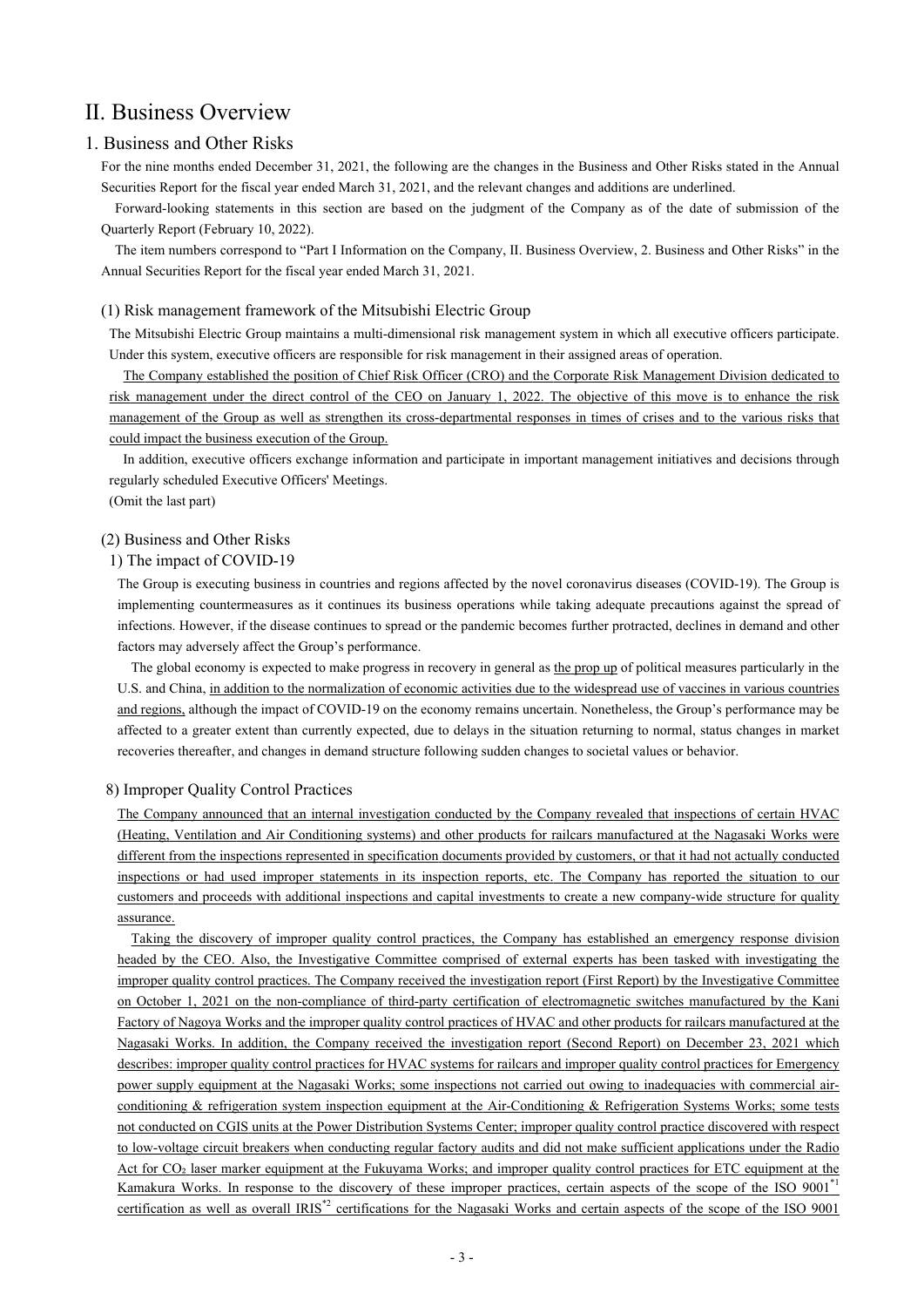## Ⅱ. Business Overview

## 1. Business and Other Risks

For the nine months ended December 31, 2021, the following are the changes in the Business and Other Risks stated in the Annual Securities Report for the fiscal year ended March 31, 2021, and the relevant changes and additions are underlined.

Forward-looking statements in this section are based on the judgment of the Company as of the date of submission of the Quarterly Report (February 10, 2022).

The item numbers correspond to "Part Ⅰ Information on the Company, Ⅱ. Business Overview, 2. Business and Other Risks" in the Annual Securities Report for the fiscal year ended March 31, 2021.

## (1) Risk management framework of the Mitsubishi Electric Group

The Mitsubishi Electric Group maintains a multi-dimensional risk management system in which all executive officers participate. Under this system, executive officers are responsible for risk management in their assigned areas of operation.

The Company established the position of Chief Risk Officer (CRO) and the Corporate Risk Management Division dedicated to risk management under the direct control of the CEO on January 1, 2022. The objective of this move is to enhance the risk management of the Group as well as strengthen its cross-departmental responses in times of crises and to the various risks that could impact the business execution of the Group.

In addition, executive officers exchange information and participate in important management initiatives and decisions through regularly scheduled Executive Officers' Meetings.

(Omit the last part)

## (2) Business and Other Risks

## 1) The impact of COVID-19

The Group is executing business in countries and regions affected by the novel coronavirus diseases (COVID-19). The Group is implementing countermeasures as it continues its business operations while taking adequate precautions against the spread of infections. However, if the disease continues to spread or the pandemic becomes further protracted, declines in demand and other factors may adversely affect the Group's performance.

The global economy is expected to make progress in recovery in general as the prop up of political measures particularly in the U.S. and China, in addition to the normalization of economic activities due to the widespread use of vaccines in various countries and regions, although the impact of COVID-19 on the economy remains uncertain. Nonetheless, the Group's performance may be affected to a greater extent than currently expected, due to delays in the situation returning to normal, status changes in market recoveries thereafter, and changes in demand structure following sudden changes to societal values or behavior.

## 8) Improper Quality Control Practices

The Company announced that an internal investigation conducted by the Company revealed that inspections of certain HVAC (Heating, Ventilation and Air Conditioning systems) and other products for railcars manufactured at the Nagasaki Works were different from the inspections represented in specification documents provided by customers, or that it had not actually conducted inspections or had used improper statements in its inspection reports, etc. The Company has reported the situation to our customers and proceeds with additional inspections and capital investments to create a new company-wide structure for quality assurance.

Taking the discovery of improper quality control practices, the Company has established an emergency response division headed by the CEO. Also, the Investigative Committee comprised of external experts has been tasked with investigating the improper quality control practices. The Company received the investigation report (First Report) by the Investigative Committee on October 1, 2021 on the non-compliance of third-party certification of electromagnetic switches manufactured by the Kani Factory of Nagoya Works and the improper quality control practices of HVAC and other products for railcars manufactured at the Nagasaki Works. In addition, the Company received the investigation report (Second Report) on December 23, 2021 which describes: improper quality control practices for HVAC systems for railcars and improper quality control practices for Emergency power supply equipment at the Nagasaki Works; some inspections not carried out owing to inadequacies with commercial airconditioning & refrigeration system inspection equipment at the Air-Conditioning & Refrigeration Systems Works; some tests not conducted on CGIS units at the Power Distribution Systems Center; improper quality control practice discovered with respect to low-voltage circuit breakers when conducting regular factory audits and did not make sufficient applications under the Radio Act for CO<sub>2</sub> laser marker equipment at the Fukuyama Works; and improper quality control practices for ETC equipment at the Kamakura Works. In response to the discovery of these improper practices, certain aspects of the scope of the ISO 9001<sup>-1</sup> certification as well as overall IRIS<sup>\*2</sup> certifications for the Nagasaki Works and certain aspects of the scope of the ISO 9001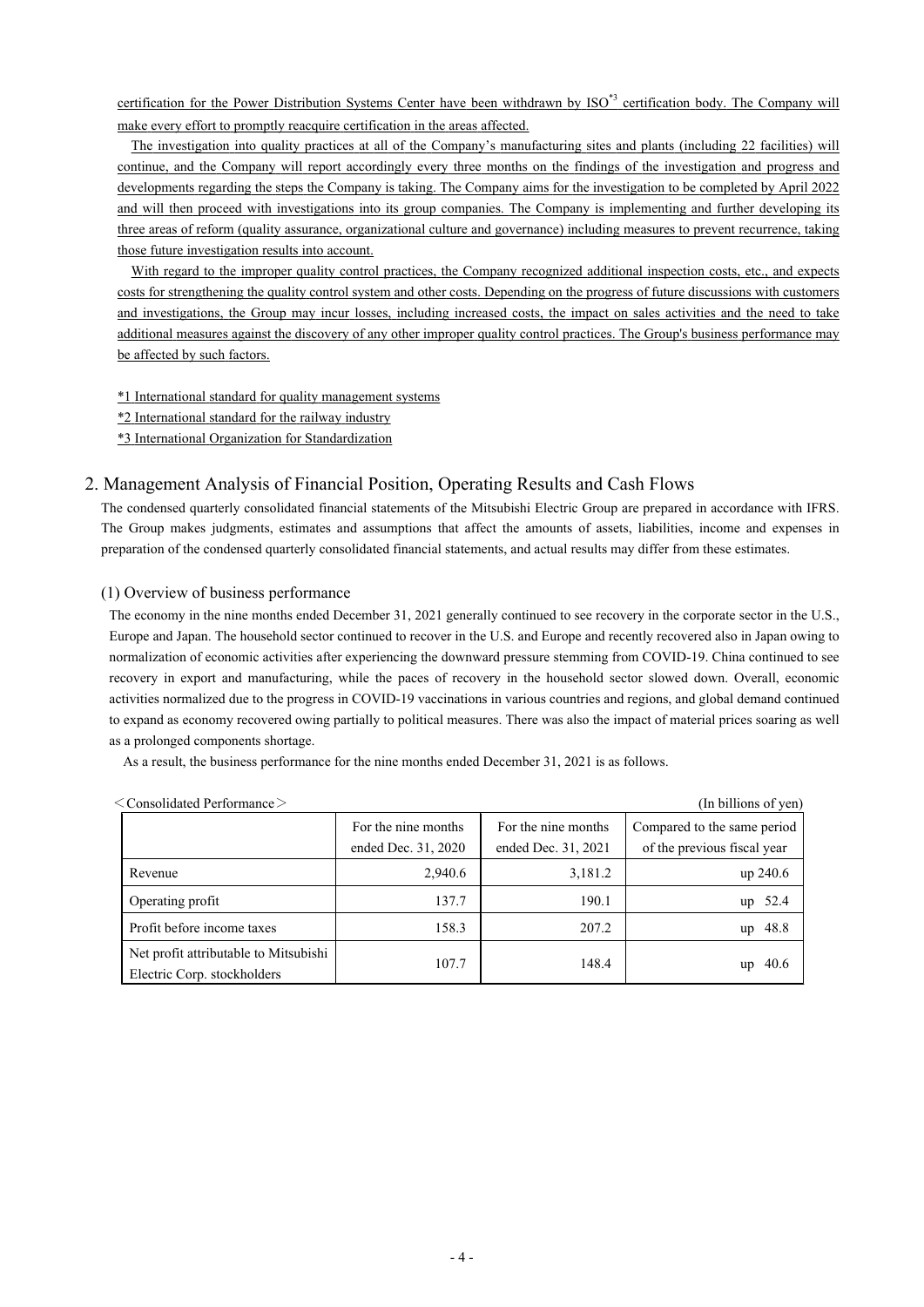certification for the Power Distribution Systems Center have been withdrawn by ISO<sup>\*3</sup> certification body. The Company will make every effort to promptly reacquire certification in the areas affected.

The investigation into quality practices at all of the Company's manufacturing sites and plants (including 22 facilities) will continue, and the Company will report accordingly every three months on the findings of the investigation and progress and developments regarding the steps the Company is taking. The Company aims for the investigation to be completed by April 2022 and will then proceed with investigations into its group companies. The Company is implementing and further developing its three areas of reform (quality assurance, organizational culture and governance) including measures to prevent recurrence, taking those future investigation results into account.

With regard to the improper quality control practices, the Company recognized additional inspection costs, etc., and expects costs for strengthening the quality control system and other costs. Depending on the progress of future discussions with customers and investigations, the Group may incur losses, including increased costs, the impact on sales activities and the need to take additional measures against the discovery of any other improper quality control practices. The Group's business performance may be affected by such factors.

\*1 International standard for quality management systems

\*2 International standard for the railway industry

\*3 International Organization for Standardization

## 2. Management Analysis of Financial Position, Operating Results and Cash Flows

The condensed quarterly consolidated financial statements of the Mitsubishi Electric Group are prepared in accordance with IFRS. The Group makes judgments, estimates and assumptions that affect the amounts of assets, liabilities, income and expenses in preparation of the condensed quarterly consolidated financial statements, and actual results may differ from these estimates.

## (1) Overview of business performance

The economy in the nine months ended December 31, 2021 generally continued to see recovery in the corporate sector in the U.S., Europe and Japan. The household sector continued to recover in the U.S. and Europe and recently recovered also in Japan owing to normalization of economic activities after experiencing the downward pressure stemming from COVID-19. China continued to see recovery in export and manufacturing, while the paces of recovery in the household sector slowed down. Overall, economic activities normalized due to the progress in COVID-19 vaccinations in various countries and regions, and global demand continued to expand as economy recovered owing partially to political measures. There was also the impact of material prices soaring as well as a prolonged components shortage.

As a result, the business performance for the nine months ended December 31, 2021 is as follows.

| $<$ Consolidated Performance $>$                                     |                     |                     | (In billions of yen)        |
|----------------------------------------------------------------------|---------------------|---------------------|-----------------------------|
|                                                                      | For the nine months | For the nine months | Compared to the same period |
|                                                                      | ended Dec. 31, 2020 | ended Dec. 31, 2021 | of the previous fiscal year |
| Revenue                                                              | 2,940.6             | 3,181.2             | up 240.6                    |
| Operating profit                                                     | 137.7               | 190.1               | 52.4<br>up                  |
| Profit before income taxes                                           | 158.3               | 207.2               | 48.8<br>up                  |
| Net profit attributable to Mitsubishi<br>Electric Corp. stockholders | 107.7               | 148.4               | 40.6<br>up                  |

| $\langle$ Consolidated Performance $\rangle$ |  |
|----------------------------------------------|--|
|                                              |  |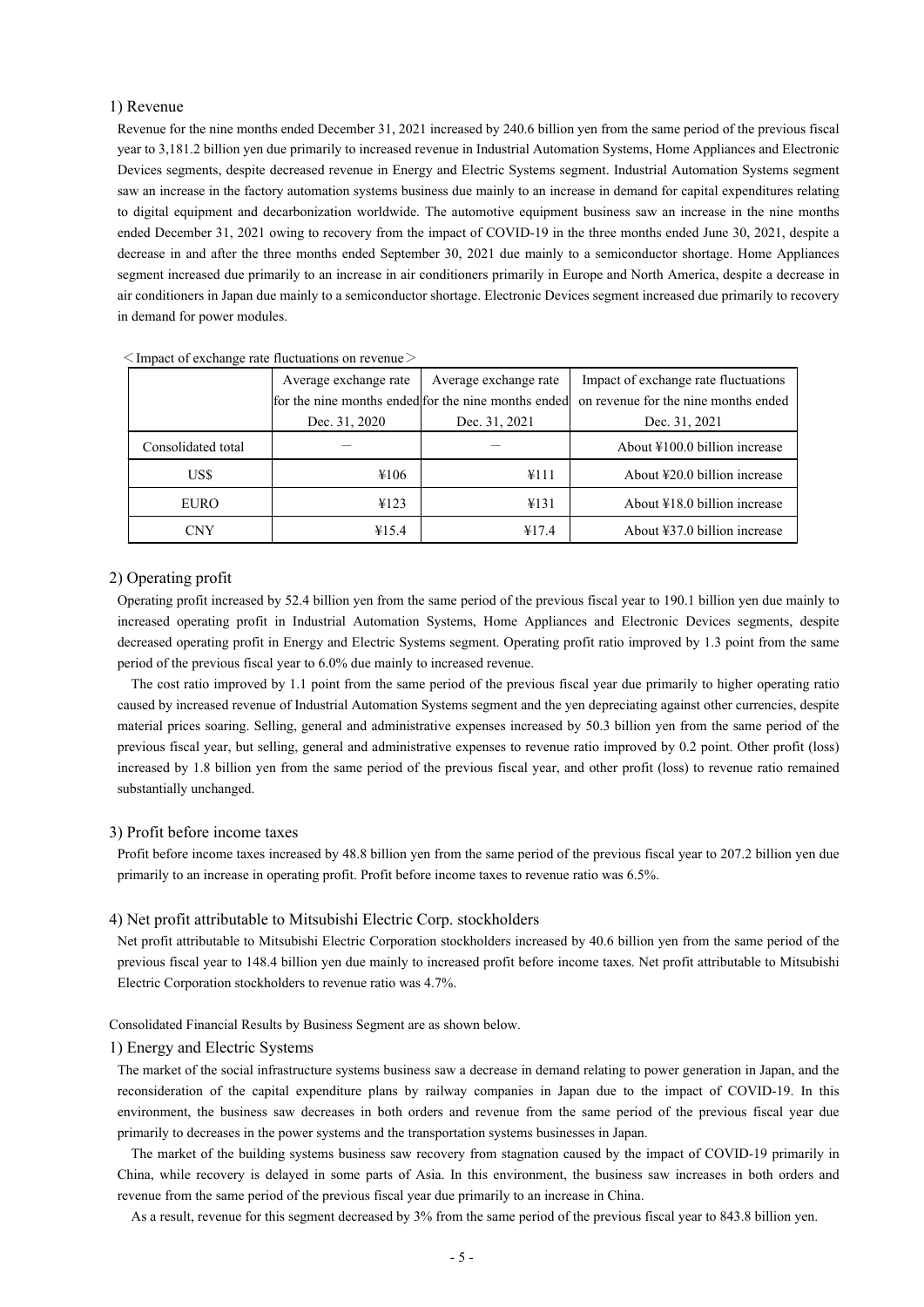## 1) Revenue

Revenue for the nine months ended December 31, 2021 increased by 240.6 billion yen from the same period of the previous fiscal year to 3,181.2 billion yen due primarily to increased revenue in Industrial Automation Systems, Home Appliances and Electronic Devices segments, despite decreased revenue in Energy and Electric Systems segment. Industrial Automation Systems segment saw an increase in the factory automation systems business due mainly to an increase in demand for capital expenditures relating to digital equipment and decarbonization worldwide. The automotive equipment business saw an increase in the nine months ended December 31, 2021 owing to recovery from the impact of COVID-19 in the three months ended June 30, 2021, despite a decrease in and after the three months ended September 30, 2021 due mainly to a semiconductor shortage. Home Appliances segment increased due primarily to an increase in air conditioners primarily in Europe and North America, despite a decrease in air conditioners in Japan due mainly to a semiconductor shortage. Electronic Devices segment increased due primarily to recovery in demand for power modules.

| Average exchange rate                               |               | Average exchange rate | Impact of exchange rate fluctuations              |
|-----------------------------------------------------|---------------|-----------------------|---------------------------------------------------|
| for the nine months ended for the nine months ended |               |                       | on revenue for the nine months ended              |
|                                                     | Dec. 31, 2020 | Dec. 31, 2021         | Dec. 31, 2021                                     |
| Consolidated total                                  |               |                       | About ¥100.0 billion increase                     |
| US\$                                                | ¥106          | ¥111                  | About ¥20.0 billion increase                      |
| EURO                                                | ¥123          | ¥131                  | About ¥18.0 billion increase                      |
| CNY                                                 | ¥15.4         | ¥17.4                 | About $\text{\textsterling}37.0$ billion increase |

 $\leq$ Impact of exchange rate fluctuations on revenue $>$ 

## 2) Operating profit

Operating profit increased by 52.4 billion yen from the same period of the previous fiscal year to 190.1 billion yen due mainly to increased operating profit in Industrial Automation Systems, Home Appliances and Electronic Devices segments, despite decreased operating profit in Energy and Electric Systems segment. Operating profit ratio improved by 1.3 point from the same period of the previous fiscal year to 6.0% due mainly to increased revenue.

The cost ratio improved by 1.1 point from the same period of the previous fiscal year due primarily to higher operating ratio caused by increased revenue of Industrial Automation Systems segment and the yen depreciating against other currencies, despite material prices soaring. Selling, general and administrative expenses increased by 50.3 billion yen from the same period of the previous fiscal year, but selling, general and administrative expenses to revenue ratio improved by 0.2 point. Other profit (loss) increased by 1.8 billion yen from the same period of the previous fiscal year, and other profit (loss) to revenue ratio remained substantially unchanged.

## 3) Profit before income taxes

Profit before income taxes increased by 48.8 billion yen from the same period of the previous fiscal year to 207.2 billion yen due primarily to an increase in operating profit. Profit before income taxes to revenue ratio was 6.5%.

#### 4) Net profit attributable to Mitsubishi Electric Corp. stockholders

Net profit attributable to Mitsubishi Electric Corporation stockholders increased by 40.6 billion yen from the same period of the previous fiscal year to 148.4 billion yen due mainly to increased profit before income taxes. Net profit attributable to Mitsubishi Electric Corporation stockholders to revenue ratio was 4.7%.

Consolidated Financial Results by Business Segment are as shown below.

## 1) Energy and Electric Systems

The market of the social infrastructure systems business saw a decrease in demand relating to power generation in Japan, and the reconsideration of the capital expenditure plans by railway companies in Japan due to the impact of COVID-19. In this environment, the business saw decreases in both orders and revenue from the same period of the previous fiscal year due primarily to decreases in the power systems and the transportation systems businesses in Japan.

The market of the building systems business saw recovery from stagnation caused by the impact of COVID-19 primarily in China, while recovery is delayed in some parts of Asia. In this environment, the business saw increases in both orders and revenue from the same period of the previous fiscal year due primarily to an increase in China.

As a result, revenue for this segment decreased by 3% from the same period of the previous fiscal year to 843.8 billion yen.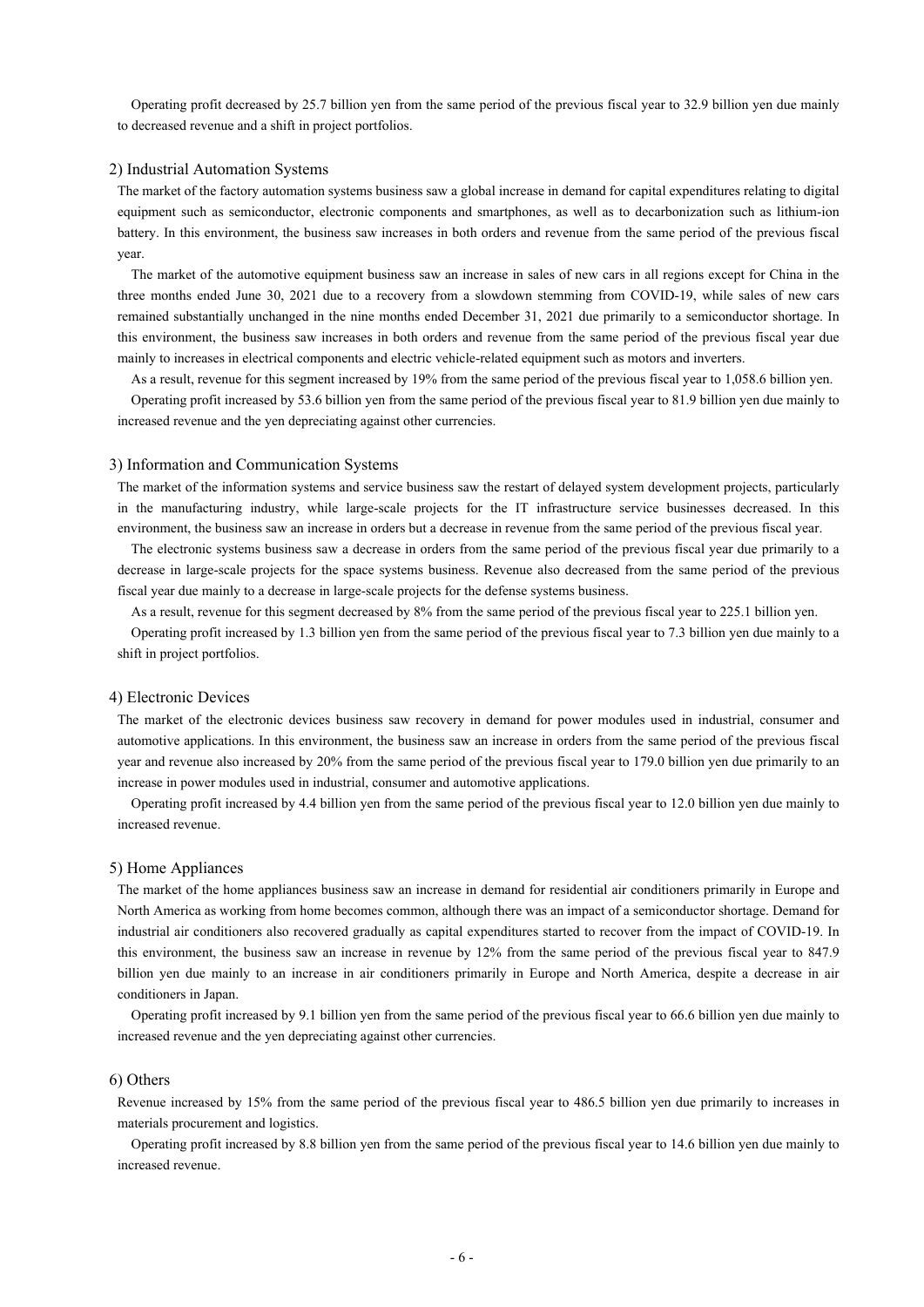Operating profit decreased by 25.7 billion yen from the same period of the previous fiscal year to 32.9 billion yen due mainly to decreased revenue and a shift in project portfolios.

## 2) Industrial Automation Systems

The market of the factory automation systems business saw a global increase in demand for capital expenditures relating to digital equipment such as semiconductor, electronic components and smartphones, as well as to decarbonization such as lithium-ion battery. In this environment, the business saw increases in both orders and revenue from the same period of the previous fiscal year.

The market of the automotive equipment business saw an increase in sales of new cars in all regions except for China in the three months ended June 30, 2021 due to a recovery from a slowdown stemming from COVID-19, while sales of new cars remained substantially unchanged in the nine months ended December 31, 2021 due primarily to a semiconductor shortage. In this environment, the business saw increases in both orders and revenue from the same period of the previous fiscal year due mainly to increases in electrical components and electric vehicle-related equipment such as motors and inverters.

As a result, revenue for this segment increased by 19% from the same period of the previous fiscal year to 1,058.6 billion yen.

Operating profit increased by 53.6 billion yen from the same period of the previous fiscal year to 81.9 billion yen due mainly to increased revenue and the yen depreciating against other currencies.

#### 3) Information and Communication Systems

The market of the information systems and service business saw the restart of delayed system development projects, particularly in the manufacturing industry, while large-scale projects for the IT infrastructure service businesses decreased. In this environment, the business saw an increase in orders but a decrease in revenue from the same period of the previous fiscal year.

The electronic systems business saw a decrease in orders from the same period of the previous fiscal year due primarily to a decrease in large-scale projects for the space systems business. Revenue also decreased from the same period of the previous fiscal year due mainly to a decrease in large-scale projects for the defense systems business.

As a result, revenue for this segment decreased by 8% from the same period of the previous fiscal year to 225.1 billion yen.

Operating profit increased by 1.3 billion yen from the same period of the previous fiscal year to 7.3 billion yen due mainly to a shift in project portfolios.

#### 4) Electronic Devices

The market of the electronic devices business saw recovery in demand for power modules used in industrial, consumer and automotive applications. In this environment, the business saw an increase in orders from the same period of the previous fiscal year and revenue also increased by 20% from the same period of the previous fiscal year to 179.0 billion yen due primarily to an increase in power modules used in industrial, consumer and automotive applications.

Operating profit increased by 4.4 billion yen from the same period of the previous fiscal year to 12.0 billion yen due mainly to increased revenue.

#### 5) Home Appliances

The market of the home appliances business saw an increase in demand for residential air conditioners primarily in Europe and North America as working from home becomes common, although there was an impact of a semiconductor shortage. Demand for industrial air conditioners also recovered gradually as capital expenditures started to recover from the impact of COVID-19. In this environment, the business saw an increase in revenue by 12% from the same period of the previous fiscal year to 847.9 billion yen due mainly to an increase in air conditioners primarily in Europe and North America, despite a decrease in air conditioners in Japan.

Operating profit increased by 9.1 billion yen from the same period of the previous fiscal year to 66.6 billion yen due mainly to increased revenue and the yen depreciating against other currencies.

#### 6) Others

Revenue increased by 15% from the same period of the previous fiscal year to 486.5 billion yen due primarily to increases in materials procurement and logistics.

 Operating profit increased by 8.8 billion yen from the same period of the previous fiscal year to 14.6 billion yen due mainly to increased revenue.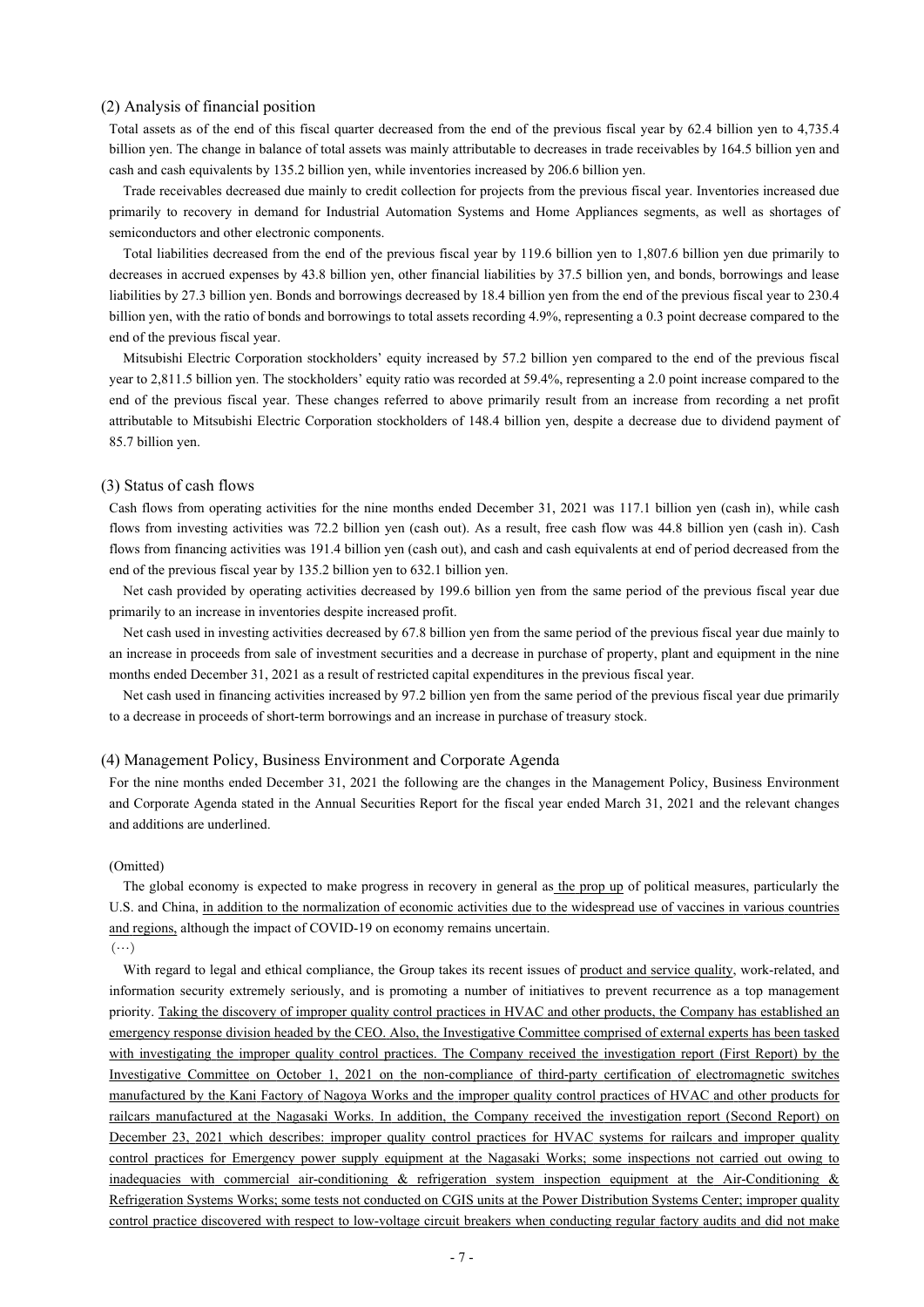## (2) Analysis of financial position

Total assets as of the end of this fiscal quarter decreased from the end of the previous fiscal year by 62.4 billion yen to 4,735.4 billion yen. The change in balance of total assets was mainly attributable to decreases in trade receivables by 164.5 billion yen and cash and cash equivalents by 135.2 billion yen, while inventories increased by 206.6 billion yen.

Trade receivables decreased due mainly to credit collection for projects from the previous fiscal year. Inventories increased due primarily to recovery in demand for Industrial Automation Systems and Home Appliances segments, as well as shortages of semiconductors and other electronic components.

Total liabilities decreased from the end of the previous fiscal year by 119.6 billion yen to 1,807.6 billion yen due primarily to decreases in accrued expenses by 43.8 billion yen, other financial liabilities by 37.5 billion yen, and bonds, borrowings and lease liabilities by 27.3 billion yen. Bonds and borrowings decreased by 18.4 billion yen from the end of the previous fiscal year to 230.4 billion yen, with the ratio of bonds and borrowings to total assets recording 4.9%, representing a 0.3 point decrease compared to the end of the previous fiscal year.

Mitsubishi Electric Corporation stockholders' equity increased by 57.2 billion yen compared to the end of the previous fiscal year to 2,811.5 billion yen. The stockholders' equity ratio was recorded at 59.4%, representing a 2.0 point increase compared to the end of the previous fiscal year. These changes referred to above primarily result from an increase from recording a net profit attributable to Mitsubishi Electric Corporation stockholders of 148.4 billion yen, despite a decrease due to dividend payment of 85.7 billion yen.

#### (3) Status of cash flows

Cash flows from operating activities for the nine months ended December 31, 2021 was 117.1 billion yen (cash in), while cash flows from investing activities was 72.2 billion yen (cash out). As a result, free cash flow was 44.8 billion yen (cash in). Cash flows from financing activities was 191.4 billion yen (cash out), and cash and cash equivalents at end of period decreased from the end of the previous fiscal year by 135.2 billion yen to 632.1 billion yen.

Net cash provided by operating activities decreased by 199.6 billion yen from the same period of the previous fiscal year due primarily to an increase in inventories despite increased profit.

Net cash used in investing activities decreased by 67.8 billion yen from the same period of the previous fiscal year due mainly to an increase in proceeds from sale of investment securities and a decrease in purchase of property, plant and equipment in the nine months ended December 31, 2021 as a result of restricted capital expenditures in the previous fiscal year.

Net cash used in financing activities increased by 97.2 billion yen from the same period of the previous fiscal year due primarily to a decrease in proceeds of short-term borrowings and an increase in purchase of treasury stock.

#### (4) Management Policy, Business Environment and Corporate Agenda

For the nine months ended December 31, 2021 the following are the changes in the Management Policy, Business Environment and Corporate Agenda stated in the Annual Securities Report for the fiscal year ended March 31, 2021 and the relevant changes and additions are underlined.

#### (Omitted)

The global economy is expected to make progress in recovery in general as the prop up of political measures, particularly the U.S. and China, in addition to the normalization of economic activities due to the widespread use of vaccines in various countries and regions, although the impact of COVID-19 on economy remains uncertain.

 $(\cdots)$ 

With regard to legal and ethical compliance, the Group takes its recent issues of product and service quality, work-related, and information security extremely seriously, and is promoting a number of initiatives to prevent recurrence as a top management priority. Taking the discovery of improper quality control practices in HVAC and other products, the Company has established an emergency response division headed by the CEO. Also, the Investigative Committee comprised of external experts has been tasked with investigating the improper quality control practices. The Company received the investigation report (First Report) by the Investigative Committee on October 1, 2021 on the non-compliance of third-party certification of electromagnetic switches manufactured by the Kani Factory of Nagoya Works and the improper quality control practices of HVAC and other products for railcars manufactured at the Nagasaki Works. In addition, the Company received the investigation report (Second Report) on December 23, 2021 which describes: improper quality control practices for HVAC systems for railcars and improper quality control practices for Emergency power supply equipment at the Nagasaki Works; some inspections not carried out owing to inadequacies with commercial air-conditioning & refrigeration system inspection equipment at the Air-Conditioning & Refrigeration Systems Works; some tests not conducted on CGIS units at the Power Distribution Systems Center; improper quality control practice discovered with respect to low-voltage circuit breakers when conducting regular factory audits and did not make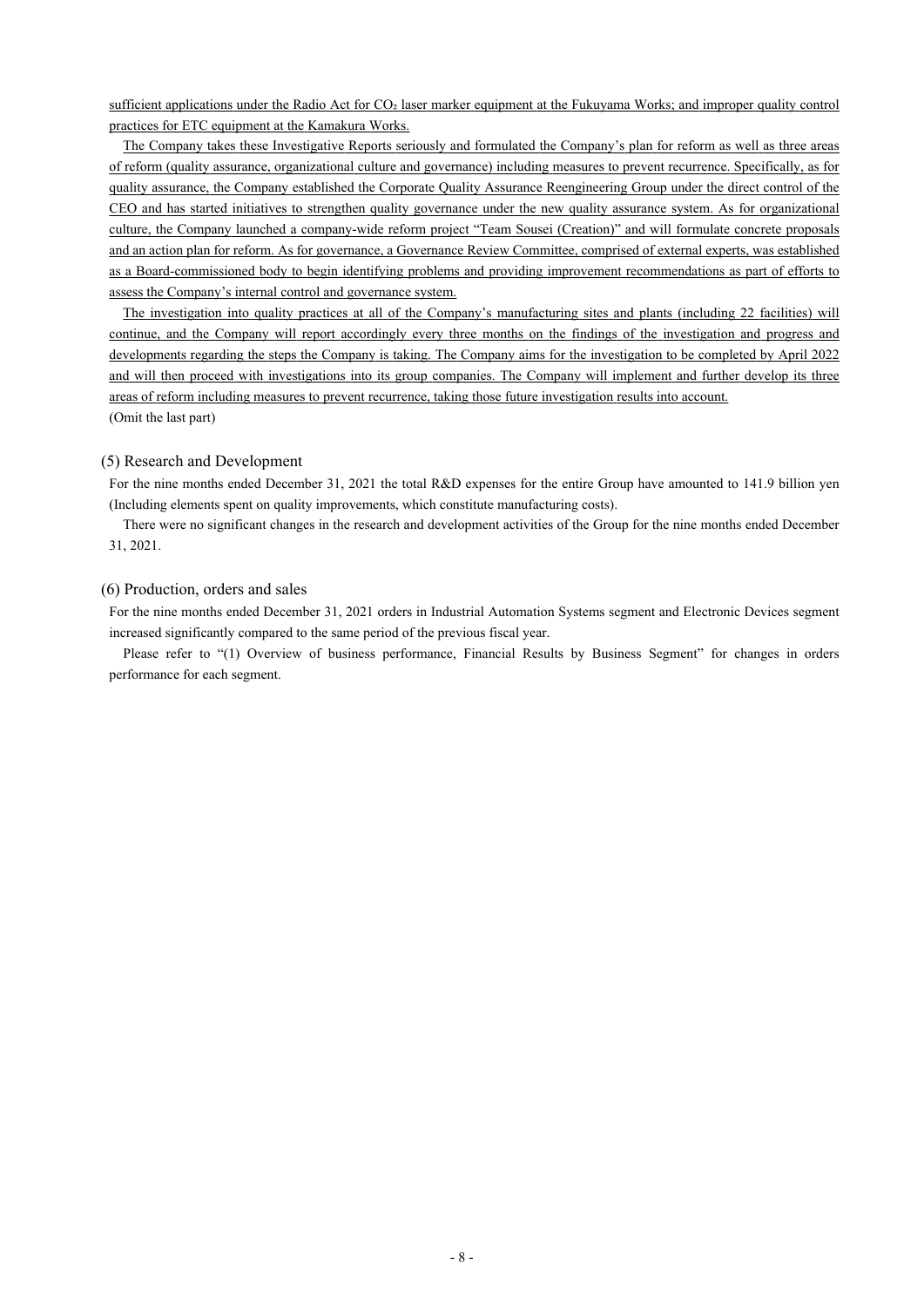sufficient applications under the Radio Act for CO2 laser marker equipment at the Fukuyama Works; and improper quality control practices for ETC equipment at the Kamakura Works.

The Company takes these Investigative Reports seriously and formulated the Company's plan for reform as well as three areas of reform (quality assurance, organizational culture and governance) including measures to prevent recurrence. Specifically, as for quality assurance, the Company established the Corporate Quality Assurance Reengineering Group under the direct control of the CEO and has started initiatives to strengthen quality governance under the new quality assurance system. As for organizational culture, the Company launched a company-wide reform project "Team Sousei (Creation)" and will formulate concrete proposals and an action plan for reform. As for governance, a Governance Review Committee, comprised of external experts, was established as a Board-commissioned body to begin identifying problems and providing improvement recommendations as part of efforts to assess the Company's internal control and governance system.

The investigation into quality practices at all of the Company's manufacturing sites and plants (including 22 facilities) will continue, and the Company will report accordingly every three months on the findings of the investigation and progress and developments regarding the steps the Company is taking. The Company aims for the investigation to be completed by April 2022 and will then proceed with investigations into its group companies. The Company will implement and further develop its three areas of reform including measures to prevent recurrence, taking those future investigation results into account. (Omit the last part)

### (5) Research and Development

For the nine months ended December 31, 2021 the total R&D expenses for the entire Group have amounted to 141.9 billion yen (Including elements spent on quality improvements, which constitute manufacturing costs).

There were no significant changes in the research and development activities of the Group for the nine months ended December 31, 2021.

## (6) Production, orders and sales

For the nine months ended December 31, 2021 orders in Industrial Automation Systems segment and Electronic Devices segment increased significantly compared to the same period of the previous fiscal year.

Please refer to "(1) Overview of business performance, Financial Results by Business Segment" for changes in orders performance for each segment.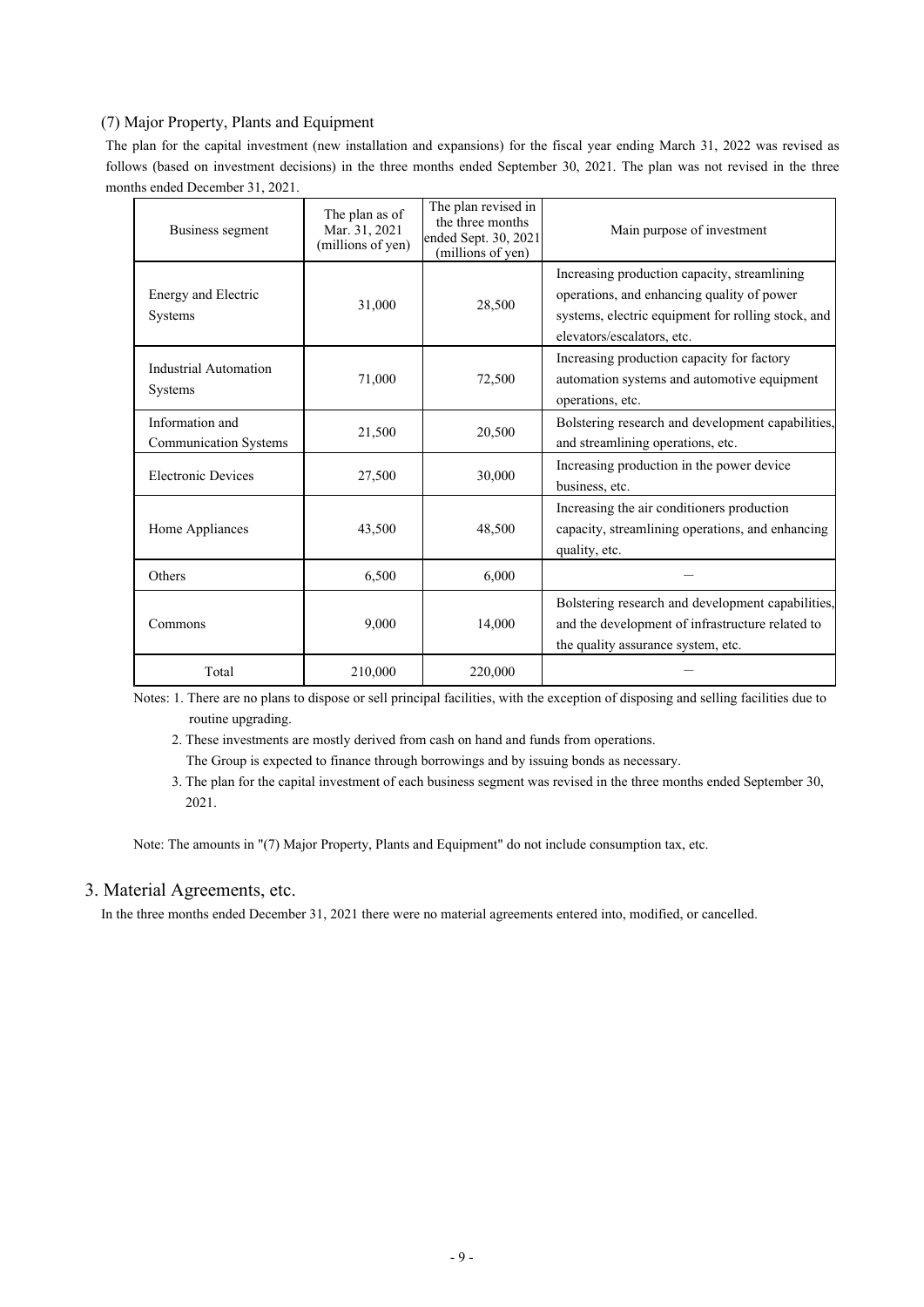## (7) Major Property, Plants and Equipment

The plan for the capital investment (new installation and expansions) for the fiscal year ending March 31, 2022 was revised as follows (based on investment decisions) in the three months ended September 30, 2021. The plan was not revised in the three months ended December 31, 2021.

| Business segment                                | The plan as of<br>Mar. 31, 2021<br>(millions of yen) | The plan revised in<br>the three months<br>ended Sept. 30, 2021<br>(millions of yen) | Main purpose of investment                                                                                                                                                     |
|-------------------------------------------------|------------------------------------------------------|--------------------------------------------------------------------------------------|--------------------------------------------------------------------------------------------------------------------------------------------------------------------------------|
| Energy and Electric<br><b>Systems</b>           | 31,000                                               | 28,500                                                                               | Increasing production capacity, streamlining<br>operations, and enhancing quality of power<br>systems, electric equipment for rolling stock, and<br>elevators/escalators, etc. |
| Industrial Automation<br><b>Systems</b>         | 71,000                                               | 72,500                                                                               | Increasing production capacity for factory<br>automation systems and automotive equipment<br>operations, etc.                                                                  |
| Information and<br><b>Communication Systems</b> | 21,500                                               | 20,500                                                                               | Bolstering research and development capabilities,<br>and streamlining operations, etc.                                                                                         |
| <b>Electronic Devices</b>                       | 27,500                                               | 30,000                                                                               | Increasing production in the power device<br>business, etc.                                                                                                                    |
| Home Appliances                                 | 43,500                                               | 48,500                                                                               | Increasing the air conditioners production<br>capacity, streamlining operations, and enhancing<br>quality, etc.                                                                |
| Others                                          | 6,500                                                | 6,000                                                                                |                                                                                                                                                                                |
| Commons                                         | 9,000                                                | 14,000                                                                               | Bolstering research and development capabilities,<br>and the development of infrastructure related to<br>the quality assurance system, etc.                                    |
| Total                                           | 210,000                                              | 220,000                                                                              |                                                                                                                                                                                |

Notes: 1. There are no plans to dispose or sell principal facilities, with the exception of disposing and selling facilities due to routine upgrading.

2. These investments are mostly derived from cash on hand and funds from operations.

The Group is expected to finance through borrowings and by issuing bonds as necessary.

 3. The plan for the capital investment of each business segment was revised in the three months ended September 30, 2021.

Note: The amounts in "(7) Major Property, Plants and Equipment" do not include consumption tax, etc.

## 3. Material Agreements, etc.

In the three months ended December 31, 2021 there were no material agreements entered into, modified, or cancelled.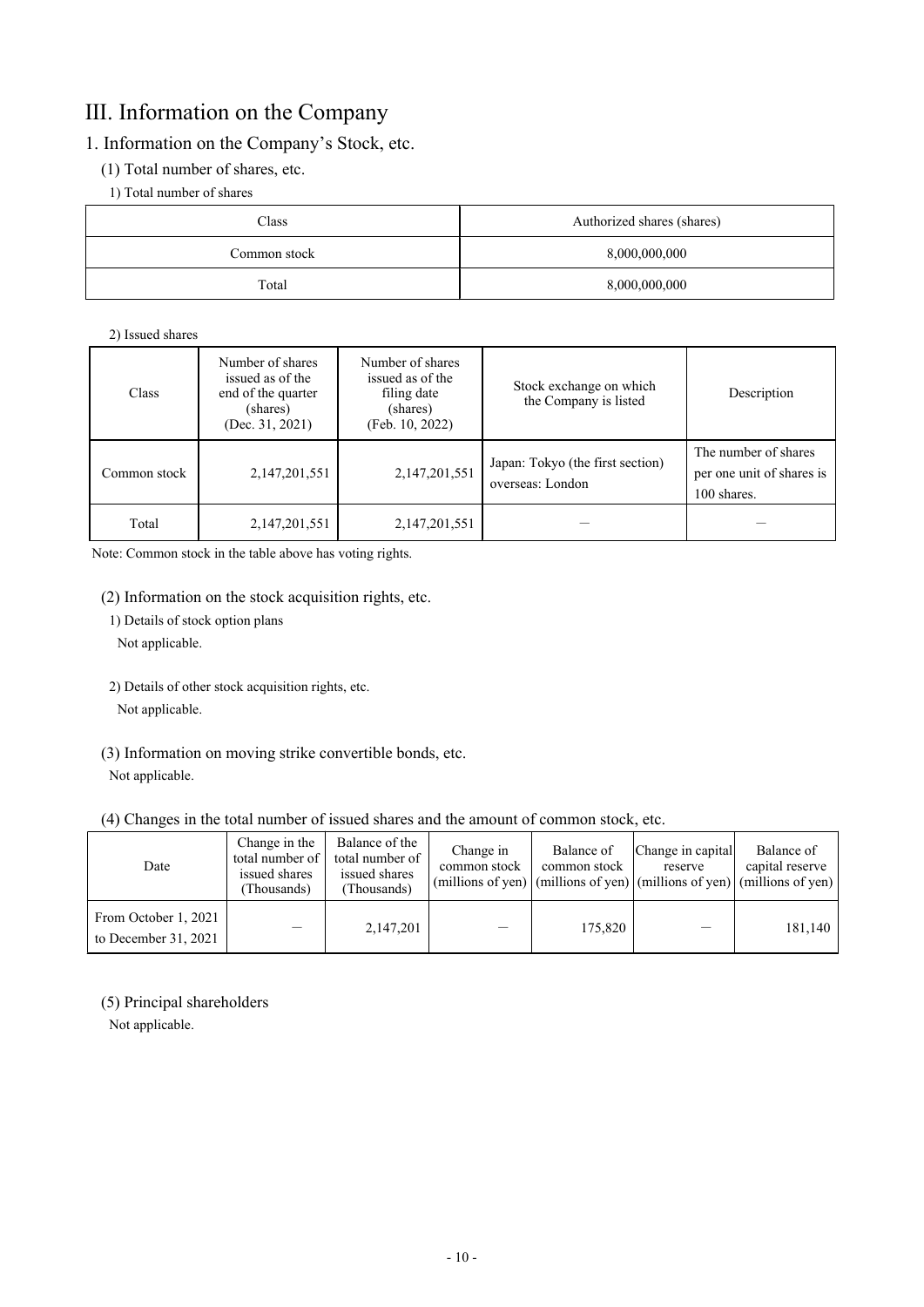## Ⅲ. Information on the Company

## 1. Information on the Company's Stock, etc.

- (1) Total number of shares, etc.
	- 1) Total number of shares

| Class        | Authorized shares (shares) |  |
|--------------|----------------------------|--|
| Common stock | 8,000,000,000              |  |
| Total        | 8,000,000,000              |  |

## 2) Issued shares

| <b>Class</b> | Number of shares<br>issued as of the<br>end of the quarter<br>(shares)<br>(Dec. $31, 2021$ ) | Number of shares<br>issued as of the<br>filing date<br>(shares)<br>(Feb. 10, 2022) | Stock exchange on which<br>the Company is listed     | Description                                                      |
|--------------|----------------------------------------------------------------------------------------------|------------------------------------------------------------------------------------|------------------------------------------------------|------------------------------------------------------------------|
| Common stock | 2,147,201,551                                                                                | 2,147,201,551                                                                      | Japan: Tokyo (the first section)<br>overseas: London | The number of shares<br>per one unit of shares is<br>100 shares. |
| Total        | 2,147,201,551                                                                                | 2, 147, 201, 551                                                                   |                                                      |                                                                  |

Note: Common stock in the table above has voting rights.

(2) Information on the stock acquisition rights, etc.

1) Details of stock option plans

Not applicable.

2) Details of other stock acquisition rights, etc.

Not applicable.

(3) Information on moving strike convertible bonds, etc. Not applicable.

## (4) Changes in the total number of issued shares and the amount of common stock, etc.

| Date                                           | Change in the<br>total number of  <br>issued shares<br>Thousands) | Balance of the<br>total number of<br>issued shares<br>(Thousands) | Change in<br>common stock | Balance of<br>common stock | Change in capital<br>reserve | Balance of<br>capital reserve<br>(millions of yen) $ $ (millions of yen) $ $ (millions of yen) $ $ (millions of yen) |
|------------------------------------------------|-------------------------------------------------------------------|-------------------------------------------------------------------|---------------------------|----------------------------|------------------------------|----------------------------------------------------------------------------------------------------------------------|
| From October 1, 2021<br>to December $31, 2021$ |                                                                   | 2,147,201                                                         |                           | 175,820                    |                              | 181,140                                                                                                              |

## (5) Principal shareholders

Not applicable.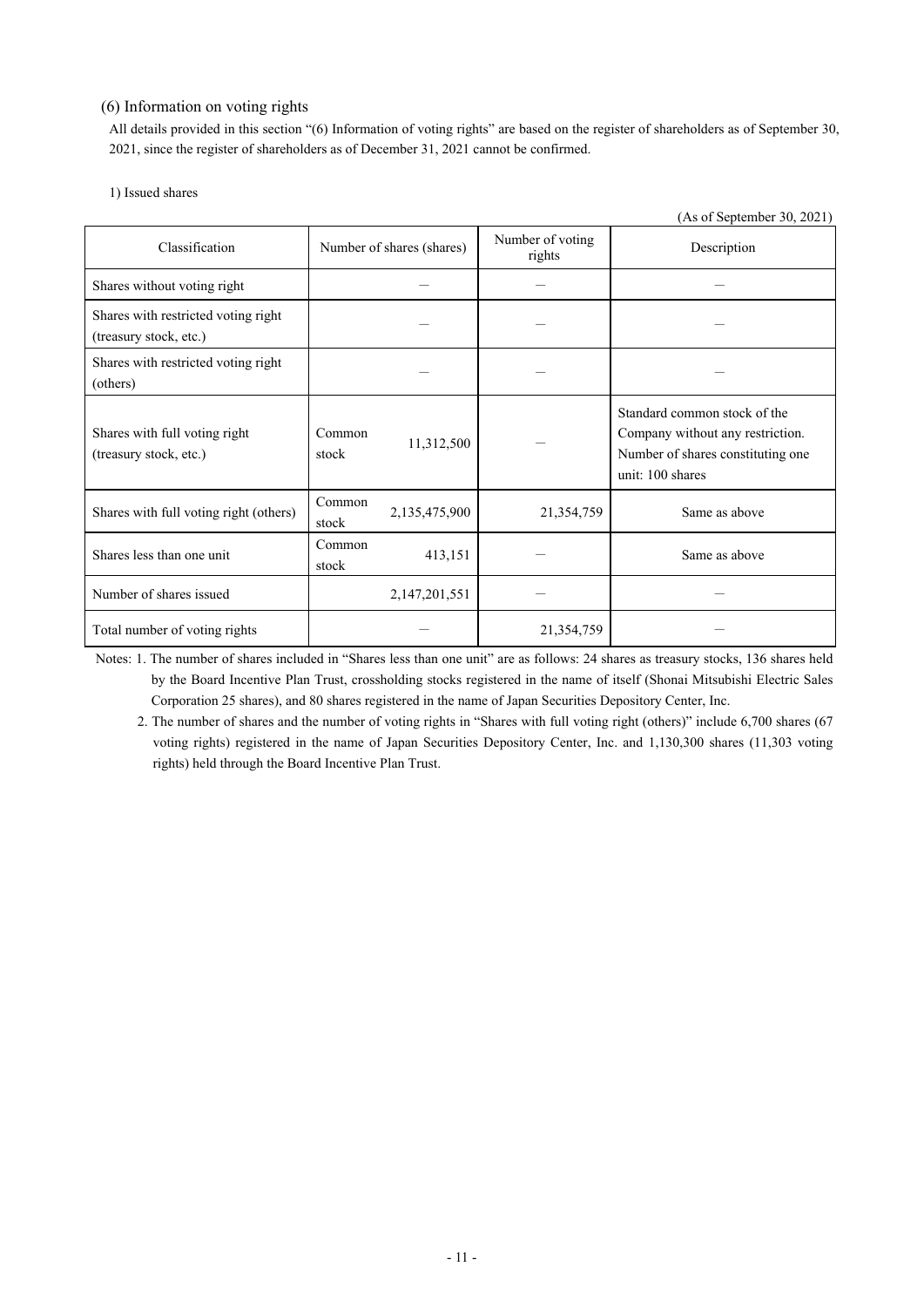## (6) Information on voting rights

All details provided in this section "(6) Information of voting rights" are based on the register of shareholders as of September 30, 2021, since the register of shareholders as of December 31, 2021 cannot be confirmed.

| 1) Issued shares |  |
|------------------|--|
|------------------|--|

|                                                               |                           |               |                            | (As of September 30, 2021)                                                                                                |
|---------------------------------------------------------------|---------------------------|---------------|----------------------------|---------------------------------------------------------------------------------------------------------------------------|
| Classification                                                | Number of shares (shares) |               | Number of voting<br>rights | Description                                                                                                               |
| Shares without voting right                                   |                           |               |                            |                                                                                                                           |
| Shares with restricted voting right<br>(treasury stock, etc.) |                           |               |                            |                                                                                                                           |
| Shares with restricted voting right<br>(others)               |                           |               |                            |                                                                                                                           |
| Shares with full voting right<br>(treasury stock, etc.)       | Common<br>stock           | 11,312,500    |                            | Standard common stock of the<br>Company without any restriction.<br>Number of shares constituting one<br>unit: 100 shares |
| Shares with full voting right (others)                        | Common<br>stock           | 2,135,475,900 | 21,354,759                 | Same as above                                                                                                             |
| Shares less than one unit                                     | Common<br>stock           | 413,151       |                            | Same as above                                                                                                             |
| Number of shares issued                                       |                           | 2,147,201,551 |                            |                                                                                                                           |
| Total number of voting rights                                 |                           |               | 21,354,759                 |                                                                                                                           |

 Notes: 1. The number of shares included in "Shares less than one unit" are as follows: 24 shares as treasury stocks, 136 shares held by the Board Incentive Plan Trust, crossholding stocks registered in the name of itself (Shonai Mitsubishi Electric Sales Corporation 25 shares), and 80 shares registered in the name of Japan Securities Depository Center, Inc.

2. The number of shares and the number of voting rights in "Shares with full voting right (others)" include 6,700 shares (67 voting rights) registered in the name of Japan Securities Depository Center, Inc. and 1,130,300 shares (11,303 voting rights) held through the Board Incentive Plan Trust.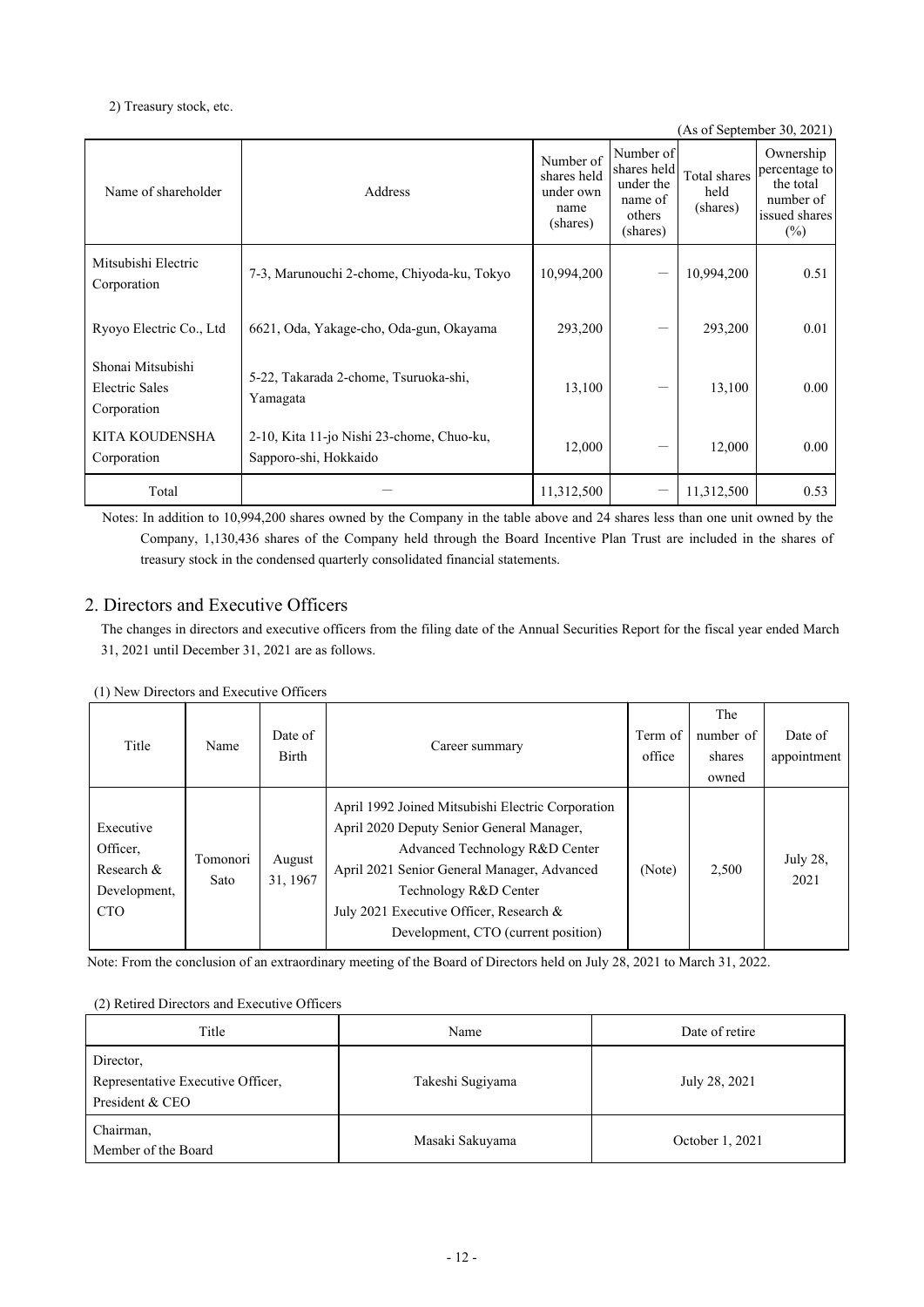## 2) Treasury stock, etc.

|                                                    |                                                                    |                                                           |                                                                        |                                  | (As of September 30, 2021)                                                      |
|----------------------------------------------------|--------------------------------------------------------------------|-----------------------------------------------------------|------------------------------------------------------------------------|----------------------------------|---------------------------------------------------------------------------------|
| Name of shareholder                                | Address                                                            | Number of<br>shares held<br>under own<br>name<br>(shares) | Number of<br>shares held<br>under the<br>name of<br>others<br>(shares) | Total shares<br>held<br>(shares) | Ownership<br>percentage to<br>the total<br>number of<br>issued shares<br>$(\%)$ |
| Mitsubishi Electric<br>Corporation                 | 7-3, Marunouchi 2-chome, Chiyoda-ku, Tokyo                         | 10,994,200                                                | --                                                                     | 10,994,200                       | 0.51                                                                            |
| Ryoyo Electric Co., Ltd                            | 6621, Oda, Yakage-cho, Oda-gun, Okayama                            | 293,200                                                   |                                                                        | 293,200                          | 0.01                                                                            |
| Shonai Mitsubishi<br>Electric Sales<br>Corporation | 5-22, Takarada 2-chome, Tsuruoka-shi,<br>Yamagata                  | 13,100                                                    |                                                                        | 13,100                           | 0.00                                                                            |
| KITA KOUDENSHA<br>Corporation                      | 2-10, Kita 11-jo Nishi 23-chome, Chuo-ku,<br>Sapporo-shi, Hokkaido | 12,000                                                    |                                                                        | 12,000                           | 0.00                                                                            |
| Total                                              |                                                                    | 11,312,500                                                |                                                                        | 11,312,500                       | 0.53                                                                            |

 Notes: In addition to 10,994,200 shares owned by the Company in the table above and 24 shares less than one unit owned by the Company, 1,130,436 shares of the Company held through the Board Incentive Plan Trust are included in the shares of treasury stock in the condensed quarterly consolidated financial statements.

## 2. Directors and Executive Officers

The changes in directors and executive officers from the filing date of the Annual Securities Report for the fiscal year ended March 31, 2021 until December 31, 2021 are as follows.

(1) New Directors and Executive Officers

| Title                                                             | Name             | Date of<br>Birth   | Career summary                                                                                                                                                                                                                                                                             | Term of<br>office | The<br>number of<br>shares<br>owned | Date of<br>appointment |
|-------------------------------------------------------------------|------------------|--------------------|--------------------------------------------------------------------------------------------------------------------------------------------------------------------------------------------------------------------------------------------------------------------------------------------|-------------------|-------------------------------------|------------------------|
| Executive<br>Officer,<br>Research &<br>Development,<br><b>CTO</b> | Tomonori<br>Sato | August<br>31, 1967 | April 1992 Joined Mitsubishi Electric Corporation<br>April 2020 Deputy Senior General Manager,<br>Advanced Technology R&D Center<br>April 2021 Senior General Manager, Advanced<br>Technology R&D Center<br>July 2021 Executive Officer, Research &<br>Development, CTO (current position) | (Note)            | 2,500                               | July 28,<br>2021       |

Note: From the conclusion of an extraordinary meeting of the Board of Directors held on July 28, 2021 to March 31, 2022.

## (2) Retired Directors and Executive Officers

| Title                                                             | Name             | Date of retire  |  |  |
|-------------------------------------------------------------------|------------------|-----------------|--|--|
| Director,<br>Representative Executive Officer,<br>President & CEO | Takeshi Sugiyama | July 28, 2021   |  |  |
| Chairman,<br>Member of the Board                                  | Masaki Sakuyama  | October 1, 2021 |  |  |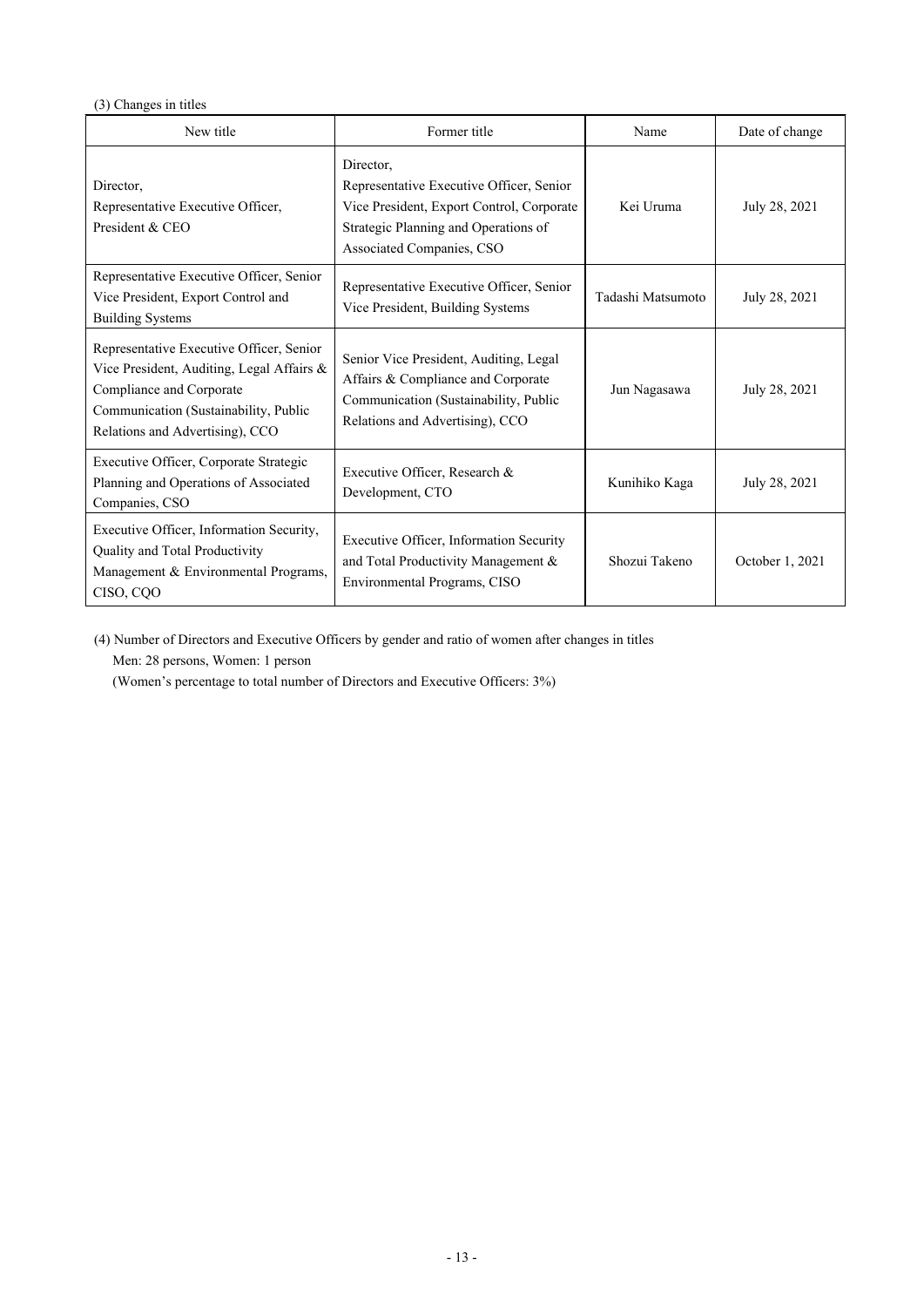## (3) Changes in titles

| New title                                                                                                                                                                                     | Former title                                                                                                                                                            | Name              | Date of change  |
|-----------------------------------------------------------------------------------------------------------------------------------------------------------------------------------------------|-------------------------------------------------------------------------------------------------------------------------------------------------------------------------|-------------------|-----------------|
| Director,<br>Representative Executive Officer,<br>President & CEO                                                                                                                             | Director,<br>Representative Executive Officer, Senior<br>Vice President, Export Control, Corporate<br>Strategic Planning and Operations of<br>Associated Companies, CSO | Kei Uruma         | July 28, 2021   |
| Representative Executive Officer, Senior<br>Vice President, Export Control and<br><b>Building Systems</b>                                                                                     | Representative Executive Officer, Senior<br>Vice President, Building Systems                                                                                            | Tadashi Matsumoto | July 28, 2021   |
| Representative Executive Officer, Senior<br>Vice President, Auditing, Legal Affairs &<br>Compliance and Corporate<br>Communication (Sustainability, Public<br>Relations and Advertising), CCO | Senior Vice President, Auditing, Legal<br>Affairs & Compliance and Corporate<br>Communication (Sustainability, Public<br>Relations and Advertising), CCO                | Jun Nagasawa      | July 28, 2021   |
| Executive Officer, Corporate Strategic<br>Planning and Operations of Associated<br>Companies, CSO                                                                                             | Executive Officer, Research &<br>Development, CTO                                                                                                                       | Kunihiko Kaga     | July 28, 2021   |
| Executive Officer, Information Security,<br>Quality and Total Productivity<br>Management & Environmental Programs,<br>CISO, CQO                                                               | Executive Officer, Information Security<br>and Total Productivity Management &<br>Environmental Programs, CISO                                                          | Shozui Takeno     | October 1, 2021 |

(4) Number of Directors and Executive Officers by gender and ratio of women after changes in titles Men: 28 persons, Women: 1 person

(Women's percentage to total number of Directors and Executive Officers: 3%)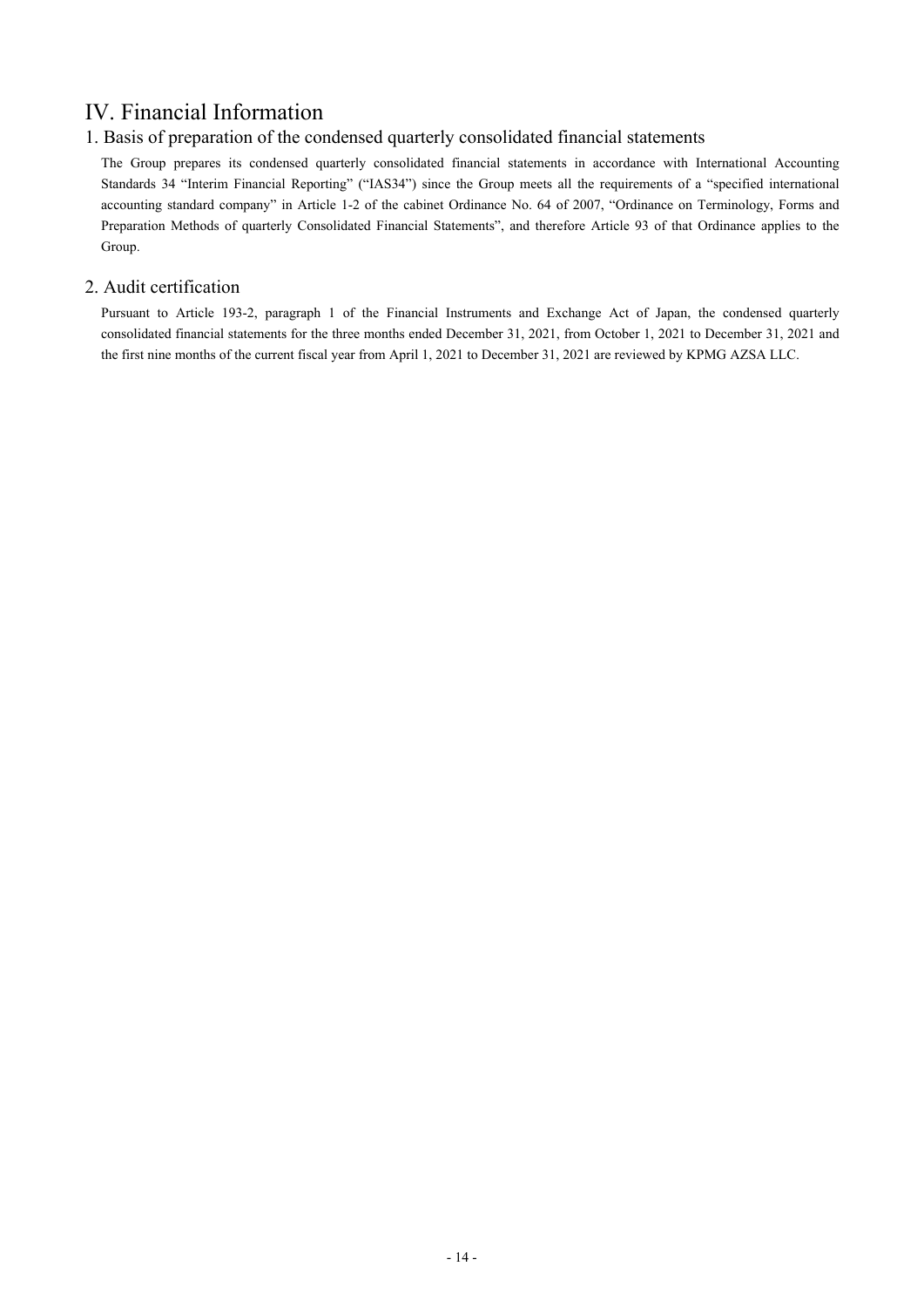## Ⅳ. Financial Information

## 1. Basis of preparation of the condensed quarterly consolidated financial statements

The Group prepares its condensed quarterly consolidated financial statements in accordance with International Accounting Standards 34 "Interim Financial Reporting" ("IAS34") since the Group meets all the requirements of a "specified international accounting standard company" in Article 1-2 of the cabinet Ordinance No. 64 of 2007, "Ordinance on Terminology, Forms and Preparation Methods of quarterly Consolidated Financial Statements", and therefore Article 93 of that Ordinance applies to the Group.

## 2. Audit certification

Pursuant to Article 193-2, paragraph 1 of the Financial Instruments and Exchange Act of Japan, the condensed quarterly consolidated financial statements for the three months ended December 31, 2021, from October 1, 2021 to December 31, 2021 and the first nine months of the current fiscal year from April 1, 2021 to December 31, 2021 are reviewed by KPMG AZSA LLC.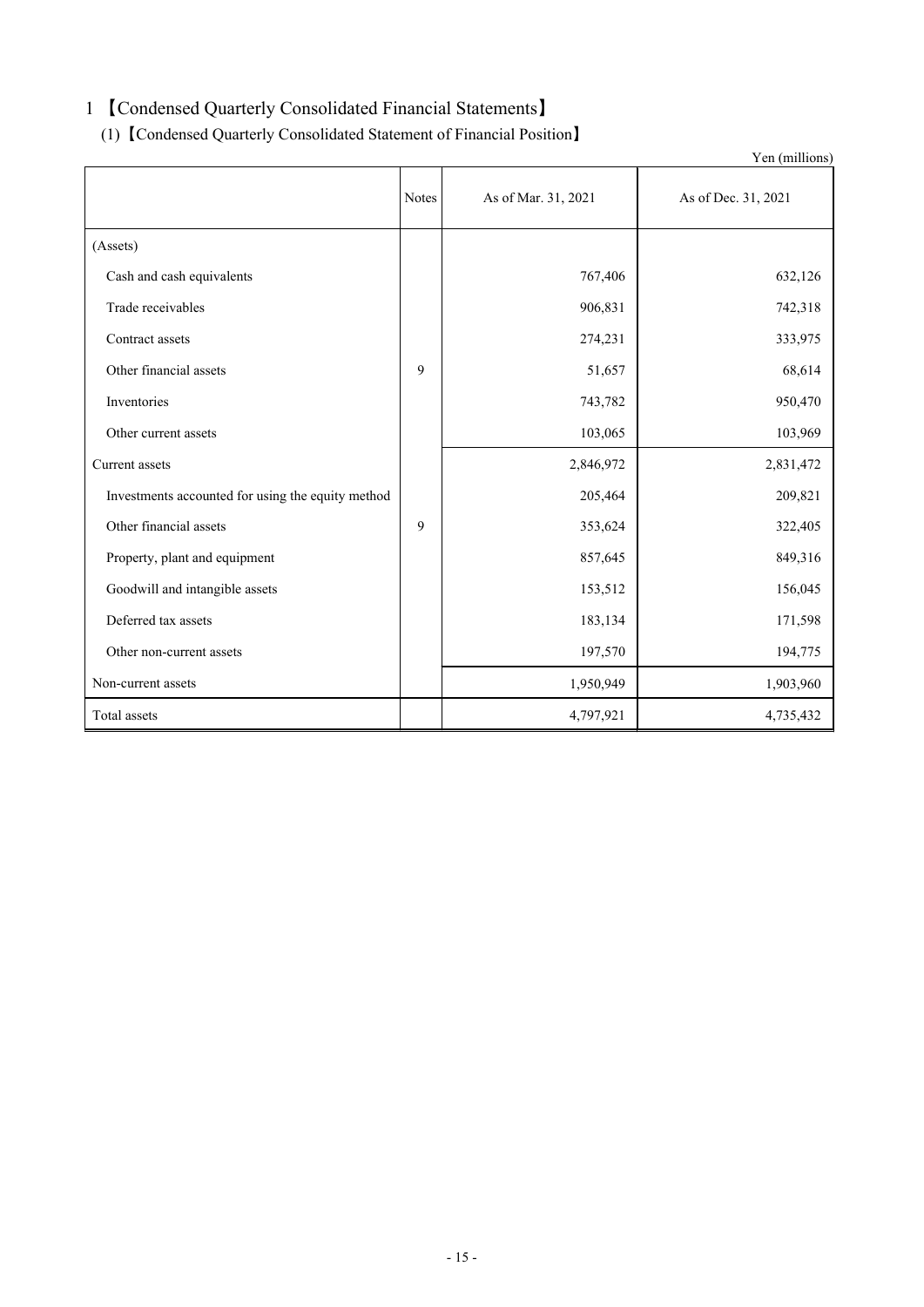## 1 【Condensed Quarterly Consolidated Financial Statements】

(1) 【Condensed Quarterly Consolidated Statement of Financial Position】

|                                                   |              |                     | Yen (millions)      |
|---------------------------------------------------|--------------|---------------------|---------------------|
|                                                   | <b>Notes</b> | As of Mar. 31, 2021 | As of Dec. 31, 2021 |
| (Assets)                                          |              |                     |                     |
| Cash and cash equivalents                         |              | 767,406             | 632,126             |
| Trade receivables                                 |              | 906,831             | 742,318             |
| Contract assets                                   |              | 274,231             | 333,975             |
| Other financial assets                            | 9            | 51,657              | 68,614              |
| Inventories                                       |              | 743,782             | 950,470             |
| Other current assets                              |              | 103,065             | 103,969             |
| Current assets                                    |              | 2,846,972           | 2,831,472           |
| Investments accounted for using the equity method |              | 205,464             | 209,821             |
| Other financial assets                            | 9            | 353,624             | 322,405             |
| Property, plant and equipment                     |              | 857,645             | 849,316             |
| Goodwill and intangible assets                    |              | 153,512             | 156,045             |
| Deferred tax assets                               |              | 183,134             | 171,598             |
| Other non-current assets                          |              | 197,570             | 194,775             |
| Non-current assets                                |              | 1,950,949           | 1,903,960           |
| Total assets                                      |              | 4,797,921           | 4,735,432           |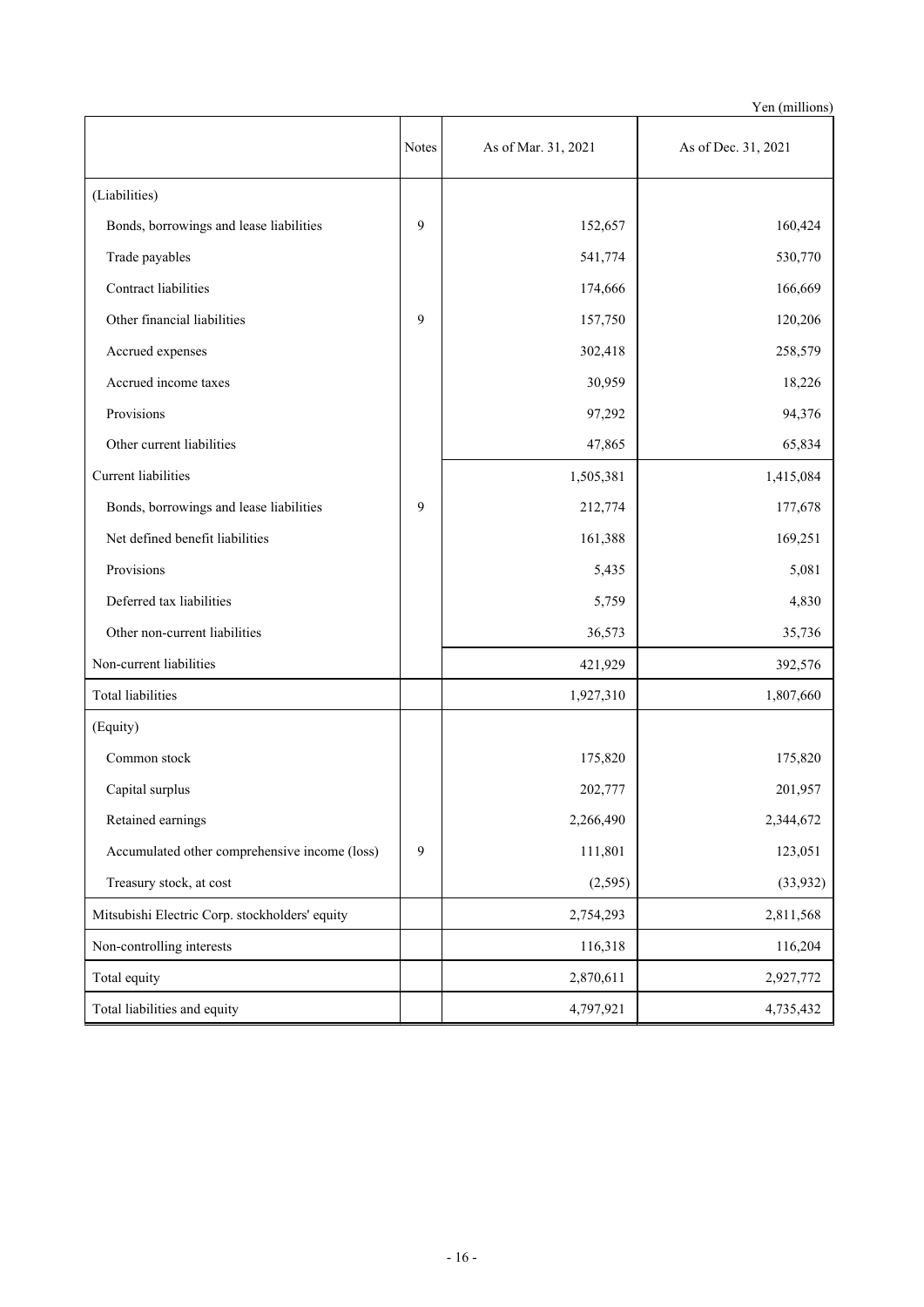Yen (millions)

|                                                | <b>Notes</b> | As of Mar. 31, 2021 | As of Dec. 31, 2021 |
|------------------------------------------------|--------------|---------------------|---------------------|
| (Liabilities)                                  |              |                     |                     |
| Bonds, borrowings and lease liabilities        | 9            | 152,657             | 160,424             |
| Trade payables                                 |              | 541,774             | 530,770             |
| Contract liabilities                           |              | 174,666             | 166,669             |
| Other financial liabilities                    | 9            | 157,750             | 120,206             |
| Accrued expenses                               |              | 302,418             | 258,579             |
| Accrued income taxes                           |              | 30,959              | 18,226              |
| Provisions                                     |              | 97,292              | 94,376              |
| Other current liabilities                      |              | 47,865              | 65,834              |
| Current liabilities                            |              | 1,505,381           | 1,415,084           |
| Bonds, borrowings and lease liabilities        | 9            | 212,774             | 177,678             |
| Net defined benefit liabilities                |              | 161,388             | 169,251             |
| Provisions                                     |              | 5,435               | 5,081               |
| Deferred tax liabilities                       |              | 5,759               | 4,830               |
| Other non-current liabilities                  |              | 36,573              | 35,736              |
| Non-current liabilities                        |              | 421,929             | 392,576             |
| Total liabilities                              |              | 1,927,310           | 1,807,660           |
| (Equity)                                       |              |                     |                     |
| Common stock                                   |              | 175,820             | 175,820             |
| Capital surplus                                |              | 202,777             | 201,957             |
| Retained earnings                              |              | 2,266,490           | 2,344,672           |
| Accumulated other comprehensive income (loss)  | $\mathbf{9}$ | 111,801             | 123,051             |
| Treasury stock, at cost                        |              | (2,595)             | (33, 932)           |
| Mitsubishi Electric Corp. stockholders' equity |              | 2,754,293           | 2,811,568           |
| Non-controlling interests                      |              | 116,318             | 116,204             |
| Total equity                                   |              | 2,870,611           | 2,927,772           |
| Total liabilities and equity                   |              | 4,797,921           | 4,735,432           |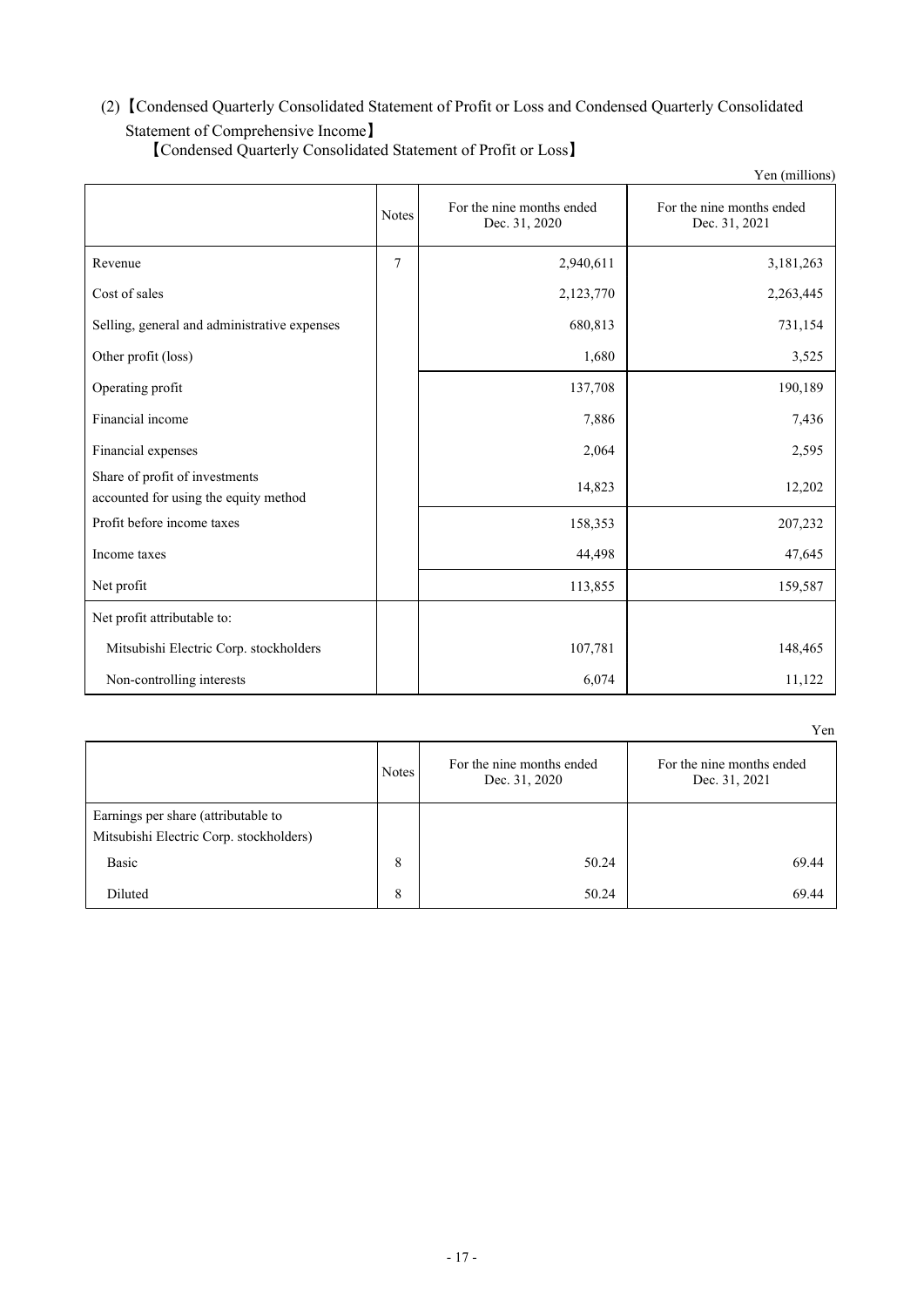## (2)【Condensed Quarterly Consolidated Statement of Profit or Loss and Condensed Quarterly Consolidated

## Statement of Comprehensive Income】

|                                                                         |              |                                            | Yen (millions)                             |
|-------------------------------------------------------------------------|--------------|--------------------------------------------|--------------------------------------------|
|                                                                         | <b>Notes</b> | For the nine months ended<br>Dec. 31, 2020 | For the nine months ended<br>Dec. 31, 2021 |
| Revenue                                                                 | 7            | 2,940,611                                  | 3,181,263                                  |
| Cost of sales                                                           |              | 2,123,770                                  | 2,263,445                                  |
| Selling, general and administrative expenses                            |              | 680,813                                    | 731,154                                    |
| Other profit (loss)                                                     |              | 1,680                                      | 3,525                                      |
| Operating profit                                                        |              | 137,708                                    | 190,189                                    |
| Financial income                                                        |              | 7,886                                      | 7,436                                      |
| Financial expenses                                                      |              | 2,064                                      | 2,595                                      |
| Share of profit of investments<br>accounted for using the equity method |              | 14,823                                     | 12,202                                     |
| Profit before income taxes                                              |              | 158,353                                    | 207,232                                    |
| Income taxes                                                            |              | 44,498                                     | 47,645                                     |
| Net profit                                                              |              | 113,855                                    | 159,587                                    |
| Net profit attributable to:                                             |              |                                            |                                            |
| Mitsubishi Electric Corp. stockholders                                  |              | 107,781                                    | 148,465                                    |
| Non-controlling interests                                               |              | 6,074                                      | 11,122                                     |

【Condensed Quarterly Consolidated Statement of Profit or Loss】

Notes For the nine months ended<br> $\Gamma$ Dec. 31, 2020 For the nine months ended Dec. 31, 2021 Earnings per share (attributable to Mitsubishi Electric Corp. stockholders) Basic 8 50.24 69.44 Diluted 8 50.24 69.44

Yen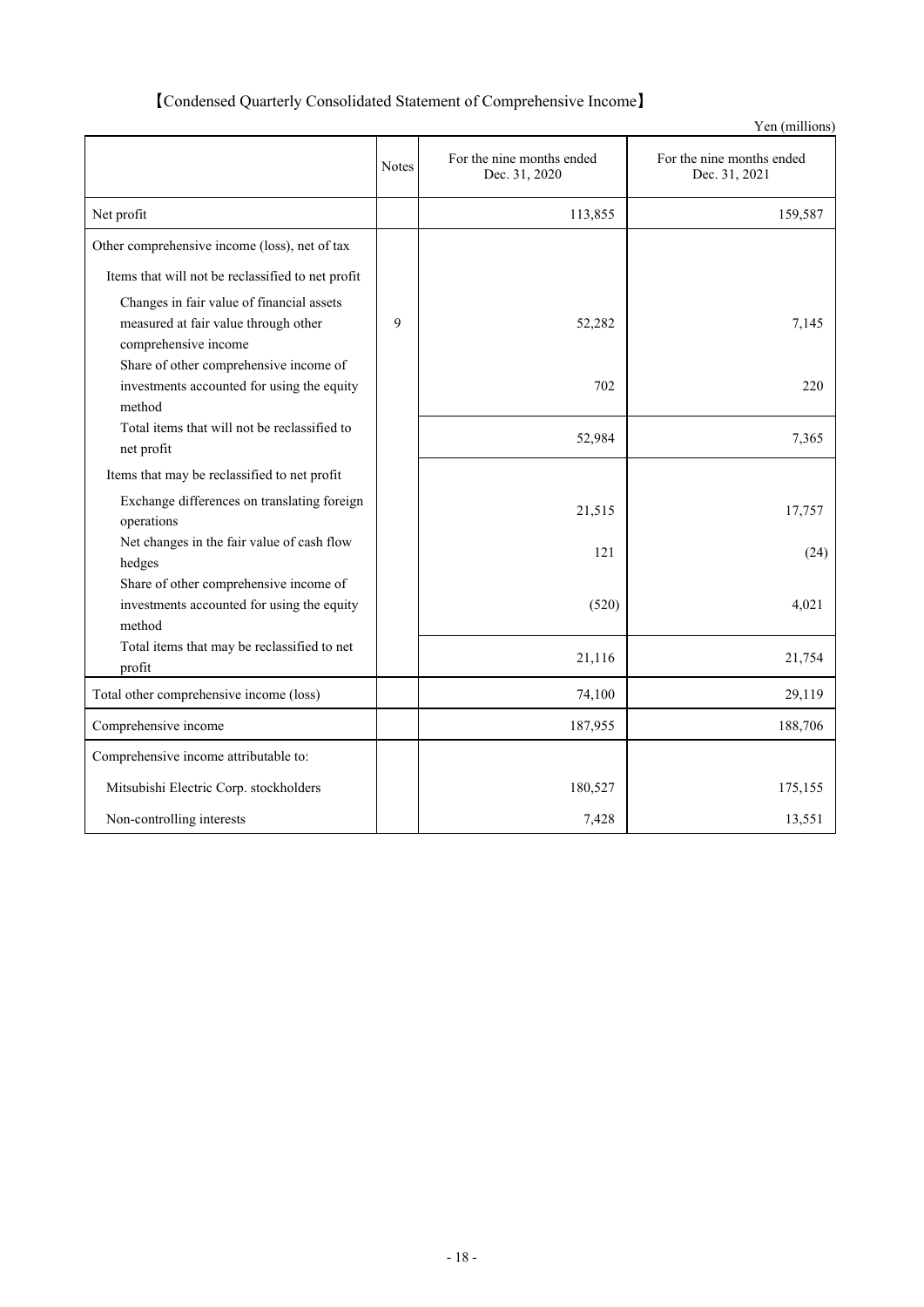## 【Condensed Quarterly Consolidated Statement of Comprehensive Income】

|                                                                                                           |              |                                            | Yen (millions)                             |
|-----------------------------------------------------------------------------------------------------------|--------------|--------------------------------------------|--------------------------------------------|
|                                                                                                           | <b>Notes</b> | For the nine months ended<br>Dec. 31, 2020 | For the nine months ended<br>Dec. 31, 2021 |
| Net profit                                                                                                |              | 113,855                                    | 159,587                                    |
| Other comprehensive income (loss), net of tax                                                             |              |                                            |                                            |
| Items that will not be reclassified to net profit                                                         |              |                                            |                                            |
| Changes in fair value of financial assets<br>measured at fair value through other<br>comprehensive income | 9            | 52,282                                     | 7,145                                      |
| Share of other comprehensive income of<br>investments accounted for using the equity<br>method            |              | 702                                        | 220                                        |
| Total items that will not be reclassified to<br>net profit                                                |              | 52,984                                     | 7,365                                      |
| Items that may be reclassified to net profit                                                              |              |                                            |                                            |
| Exchange differences on translating foreign<br>operations                                                 |              | 21,515                                     | 17,757                                     |
| Net changes in the fair value of cash flow<br>hedges                                                      |              | 121                                        | (24)                                       |
| Share of other comprehensive income of<br>investments accounted for using the equity<br>method            |              | (520)                                      | 4,021                                      |
| Total items that may be reclassified to net<br>profit                                                     |              | 21,116                                     | 21,754                                     |
| Total other comprehensive income (loss)                                                                   |              | 74,100                                     | 29,119                                     |
| Comprehensive income                                                                                      |              | 187,955                                    | 188,706                                    |
| Comprehensive income attributable to:                                                                     |              |                                            |                                            |
| Mitsubishi Electric Corp. stockholders                                                                    |              | 180,527                                    | 175,155                                    |
| Non-controlling interests                                                                                 |              | 7,428                                      | 13,551                                     |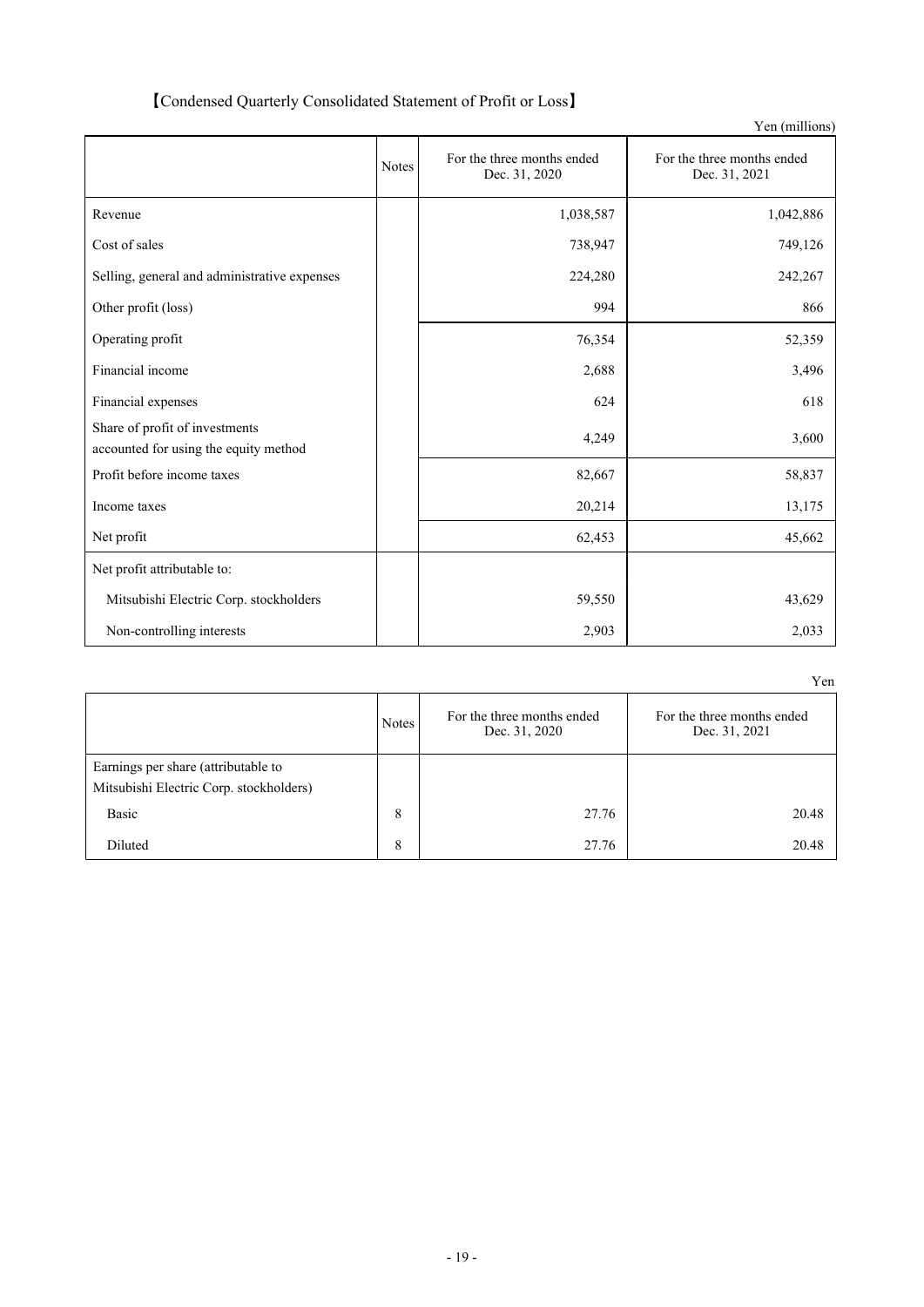| [Condensed Quarterly Consolidated Statement of Profit or Loss] |  |
|----------------------------------------------------------------|--|
|----------------------------------------------------------------|--|

|                                                                         |              |                                             | Yen (millions)                              |
|-------------------------------------------------------------------------|--------------|---------------------------------------------|---------------------------------------------|
|                                                                         | <b>Notes</b> | For the three months ended<br>Dec. 31, 2020 | For the three months ended<br>Dec. 31, 2021 |
| Revenue                                                                 |              | 1,038,587                                   | 1,042,886                                   |
| Cost of sales                                                           |              | 738,947                                     | 749,126                                     |
| Selling, general and administrative expenses                            |              | 224,280                                     | 242,267                                     |
| Other profit (loss)                                                     |              | 994                                         | 866                                         |
| Operating profit                                                        |              | 76,354                                      | 52,359                                      |
| Financial income                                                        |              | 2,688                                       | 3,496                                       |
| Financial expenses                                                      |              | 624                                         | 618                                         |
| Share of profit of investments<br>accounted for using the equity method |              | 4,249                                       | 3,600                                       |
| Profit before income taxes                                              |              | 82,667                                      | 58,837                                      |
| Income taxes                                                            |              | 20,214                                      | 13,175                                      |
| Net profit                                                              |              | 62,453                                      | 45,662                                      |
| Net profit attributable to:                                             |              |                                             |                                             |
| Mitsubishi Electric Corp. stockholders                                  |              | 59,550                                      | 43,629                                      |
| Non-controlling interests                                               |              | 2,903                                       | 2,033                                       |

|                                                                                | <b>Notes</b> | For the three months ended<br>Dec. 31, 2020 | For the three months ended<br>Dec. 31, 2021 |
|--------------------------------------------------------------------------------|--------------|---------------------------------------------|---------------------------------------------|
| Earnings per share (attributable to<br>Mitsubishi Electric Corp. stockholders) |              |                                             |                                             |
| Basic                                                                          | 8            | 27.76                                       | 20.48                                       |
| Diluted                                                                        | 8            | 27.76                                       | 20.48                                       |

Yen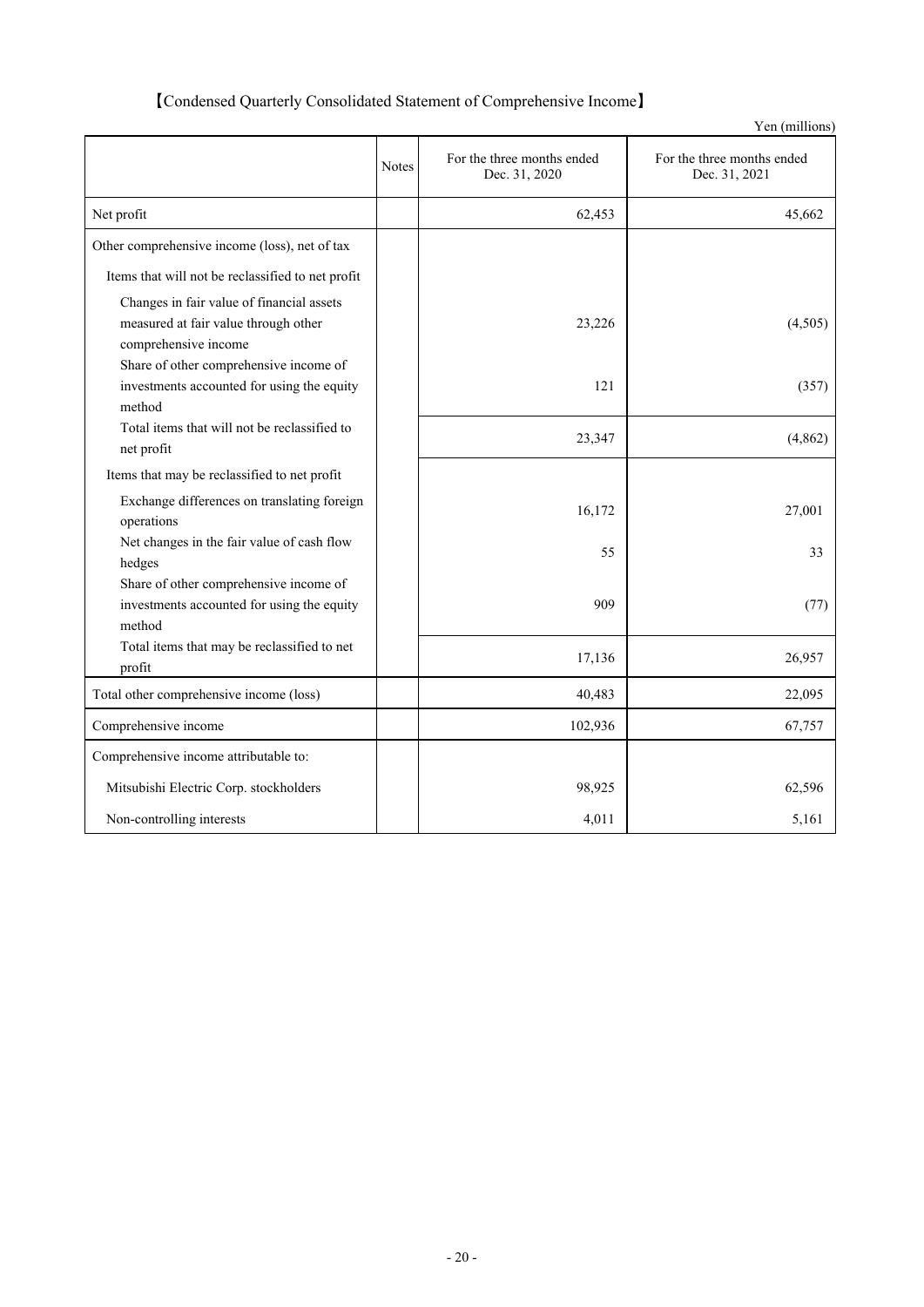## 【Condensed Quarterly Consolidated Statement of Comprehensive Income】

|                                                      |       |                                             | Yen (millions)                              |
|------------------------------------------------------|-------|---------------------------------------------|---------------------------------------------|
|                                                      | Notes | For the three months ended<br>Dec. 31, 2020 | For the three months ended<br>Dec. 31, 2021 |
| Net profit                                           |       | 62,453                                      | 45,662                                      |
| Other comprehensive income (loss), net of tax        |       |                                             |                                             |
| Items that will not be reclassified to net profit    |       |                                             |                                             |
| Changes in fair value of financial assets            |       |                                             |                                             |
| measured at fair value through other                 |       | 23,226                                      | (4,505)                                     |
| comprehensive income                                 |       |                                             |                                             |
| Share of other comprehensive income of               |       |                                             |                                             |
| investments accounted for using the equity           |       | 121                                         | (357)                                       |
| method                                               |       |                                             |                                             |
| Total items that will not be reclassified to         |       | 23,347                                      | (4, 862)                                    |
| net profit                                           |       |                                             |                                             |
| Items that may be reclassified to net profit         |       |                                             |                                             |
| Exchange differences on translating foreign          |       | 16,172                                      | 27,001                                      |
| operations                                           |       |                                             |                                             |
| Net changes in the fair value of cash flow           |       | 55                                          | 33                                          |
| hedges                                               |       |                                             |                                             |
| Share of other comprehensive income of               |       |                                             |                                             |
| investments accounted for using the equity<br>method |       | 909                                         | (77)                                        |
| Total items that may be reclassified to net          |       |                                             |                                             |
| profit                                               |       | 17,136                                      | 26,957                                      |
| Total other comprehensive income (loss)              |       | 40,483                                      | 22,095                                      |
| Comprehensive income                                 |       | 102,936                                     | 67,757                                      |
| Comprehensive income attributable to:                |       |                                             |                                             |
| Mitsubishi Electric Corp. stockholders               |       | 98,925                                      | 62,596                                      |
| Non-controlling interests                            |       | 4,011                                       | 5,161                                       |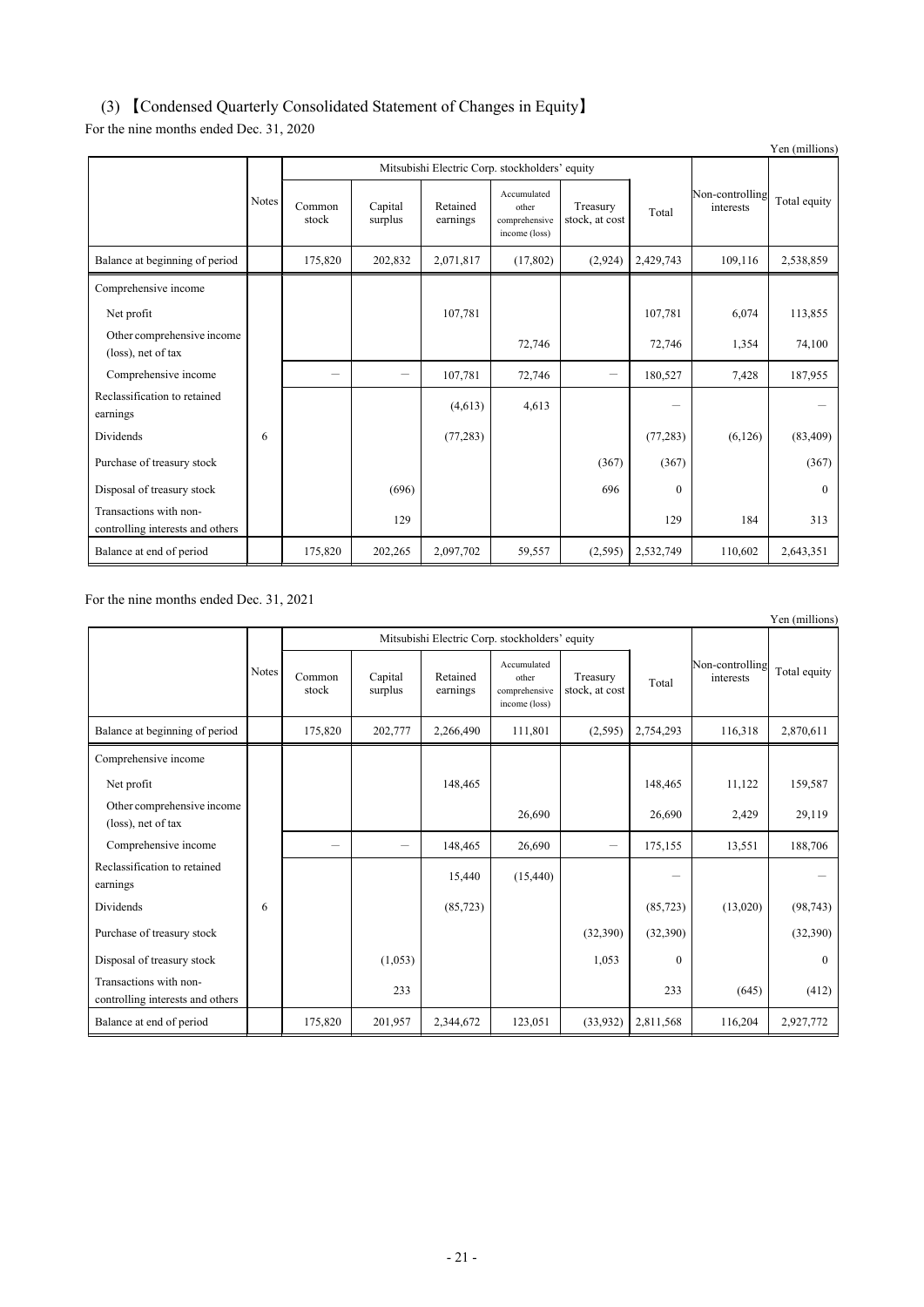## (3) 【Condensed Quarterly Consolidated Statement of Changes in Equity】

For the nine months ended Dec. 31, 2020

|                                                            |              |                 |                    |                                                |                                                        |                            |           |                              | Yen (millions) |
|------------------------------------------------------------|--------------|-----------------|--------------------|------------------------------------------------|--------------------------------------------------------|----------------------------|-----------|------------------------------|----------------|
|                                                            |              |                 |                    | Mitsubishi Electric Corp. stockholders' equity |                                                        |                            |           |                              |                |
|                                                            | <b>Notes</b> | Common<br>stock | Capital<br>surplus | Retained<br>earnings                           | Accumulated<br>other<br>comprehensive<br>income (loss) | Treasury<br>stock, at cost | Total     | Non-controlling<br>interests | Total equity   |
| Balance at beginning of period                             |              | 175,820         | 202,832            | 2,071,817                                      | (17, 802)                                              | (2,924)                    | 2,429,743 | 109,116                      | 2,538,859      |
| Comprehensive income                                       |              |                 |                    |                                                |                                                        |                            |           |                              |                |
| Net profit                                                 |              |                 |                    | 107,781                                        |                                                        |                            | 107,781   | 6,074                        | 113,855        |
| Other comprehensive income<br>(loss), net of tax           |              |                 |                    |                                                | 72,746                                                 |                            | 72,746    | 1,354                        | 74,100         |
| Comprehensive income                                       |              | -               | -                  | 107,781                                        | 72,746                                                 | $\overline{\phantom{0}}$   | 180,527   | 7,428                        | 187,955        |
| Reclassification to retained<br>earnings                   |              |                 |                    | (4,613)                                        | 4,613                                                  |                            |           |                              |                |
| Dividends                                                  | 6            |                 |                    | (77, 283)                                      |                                                        |                            | (77, 283) | (6,126)                      | (83, 409)      |
| Purchase of treasury stock                                 |              |                 |                    |                                                |                                                        | (367)                      | (367)     |                              | (367)          |
| Disposal of treasury stock                                 |              |                 | (696)              |                                                |                                                        | 696                        | $\Omega$  |                              | $\theta$       |
| Transactions with non-<br>controlling interests and others |              |                 | 129                |                                                |                                                        |                            | 129       | 184                          | 313            |
| Balance at end of period                                   |              | 175,820         | 202,265            | 2,097,702                                      | 59,557                                                 | (2,595)                    | 2,532,749 | 110,602                      | 2,643,351      |

For the nine months ended Dec. 31, 2021

|                                                            |       |                 |                    |                                                |                                                        |                            |           |                              | 1 cm (minitons) |
|------------------------------------------------------------|-------|-----------------|--------------------|------------------------------------------------|--------------------------------------------------------|----------------------------|-----------|------------------------------|-----------------|
|                                                            |       |                 |                    | Mitsubishi Electric Corp. stockholders' equity |                                                        |                            |           |                              |                 |
|                                                            | Notes | Common<br>stock | Capital<br>surplus | Retained<br>earnings                           | Accumulated<br>other<br>comprehensive<br>income (loss) | Treasury<br>stock, at cost | Total     | Non-controlling<br>interests | Total equity    |
| Balance at beginning of period                             |       | 175,820         | 202,777            | 2,266,490                                      | 111,801                                                | (2,595)                    | 2,754,293 | 116,318                      | 2,870,611       |
| Comprehensive income                                       |       |                 |                    |                                                |                                                        |                            |           |                              |                 |
| Net profit                                                 |       |                 |                    | 148,465                                        |                                                        |                            | 148,465   | 11,122                       | 159,587         |
| Other comprehensive income<br>(loss), net of tax           |       |                 |                    |                                                | 26,690                                                 |                            | 26,690    | 2,429                        | 29,119          |
| Comprehensive income                                       |       |                 |                    | 148,465                                        | 26,690                                                 | -                          | 175,155   | 13,551                       | 188,706         |
| Reclassification to retained<br>earnings                   |       |                 |                    | 15,440                                         | (15, 440)                                              |                            |           |                              |                 |
| Dividends                                                  | 6     |                 |                    | (85, 723)                                      |                                                        |                            | (85, 723) | (13,020)                     | (98, 743)       |
| Purchase of treasury stock                                 |       |                 |                    |                                                |                                                        | (32,390)                   | (32,390)  |                              | (32,390)        |
| Disposal of treasury stock                                 |       |                 | (1,053)            |                                                |                                                        | 1,053                      | $\theta$  |                              | $\theta$        |
| Transactions with non-<br>controlling interests and others |       |                 | 233                |                                                |                                                        |                            | 233       | (645)                        | (412)           |
| Balance at end of period                                   |       | 175,820         | 201,957            | 2,344,672                                      | 123,051                                                | (33,932)                   | 2,811,568 | 116,204                      | 2,927,772       |

Yen (millions)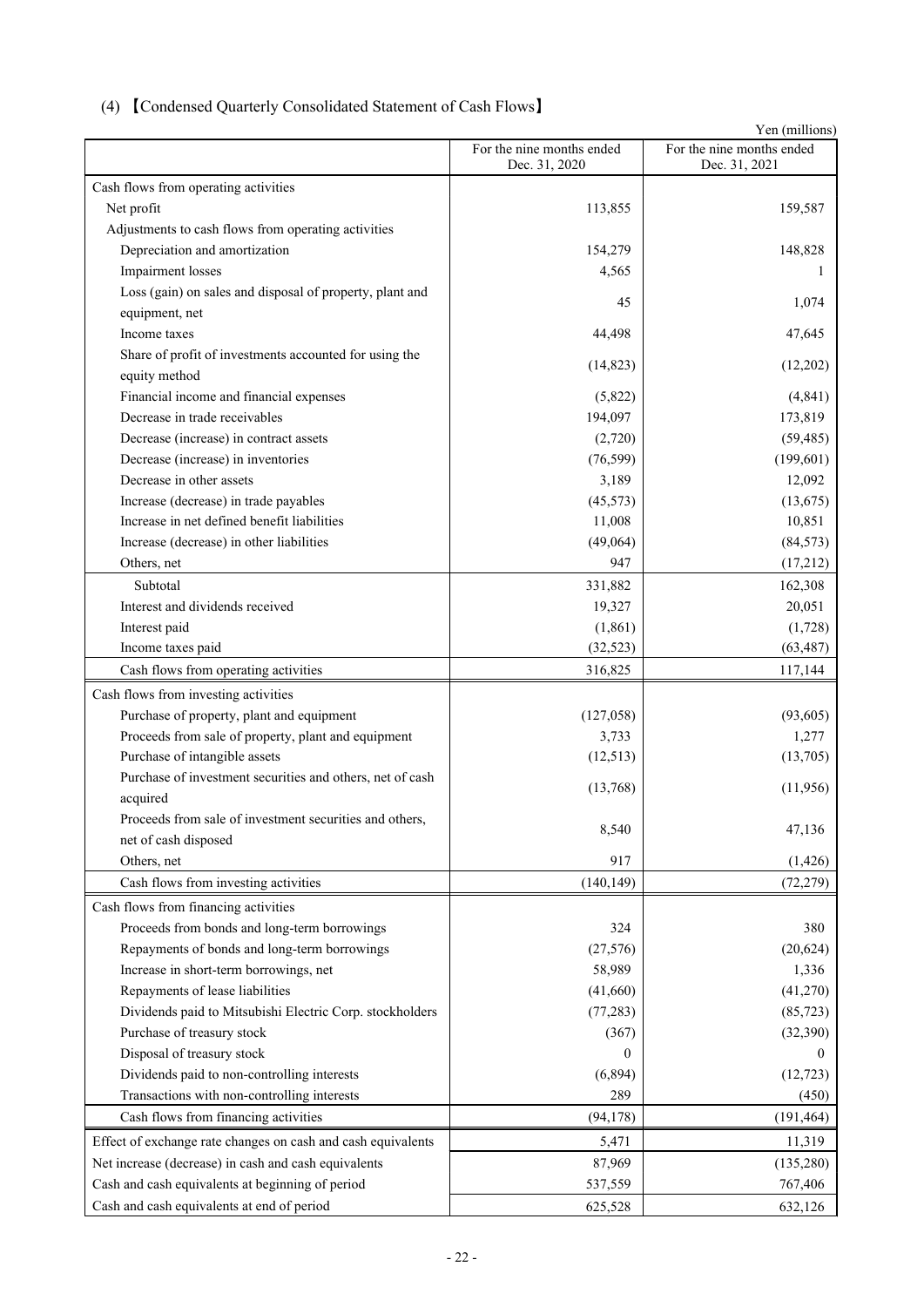## (4) 【Condensed Quarterly Consolidated Statement of Cash Flows】

|                                                                         |                                            | Yen (millions)                             |
|-------------------------------------------------------------------------|--------------------------------------------|--------------------------------------------|
|                                                                         | For the nine months ended<br>Dec. 31, 2020 | For the nine months ended<br>Dec. 31, 2021 |
| Cash flows from operating activities                                    |                                            |                                            |
| Net profit                                                              | 113,855                                    | 159,587                                    |
| Adjustments to cash flows from operating activities                     |                                            |                                            |
| Depreciation and amortization                                           | 154,279                                    | 148,828                                    |
| Impairment losses                                                       | 4,565                                      | 1                                          |
| Loss (gain) on sales and disposal of property, plant and                | 45                                         | 1,074                                      |
| equipment, net<br>Income taxes                                          | 44,498                                     |                                            |
|                                                                         |                                            | 47,645                                     |
| Share of profit of investments accounted for using the<br>equity method | (14, 823)                                  | (12,202)                                   |
| Financial income and financial expenses                                 | (5,822)                                    | (4, 841)                                   |
| Decrease in trade receivables                                           | 194,097                                    | 173,819                                    |
| Decrease (increase) in contract assets                                  | (2,720)                                    | (59, 485)                                  |
| Decrease (increase) in inventories                                      | (76, 599)                                  | (199, 601)                                 |
| Decrease in other assets                                                | 3,189                                      | 12,092                                     |
| Increase (decrease) in trade payables                                   | (45, 573)                                  | (13, 675)                                  |
| Increase in net defined benefit liabilities                             | 11,008                                     | 10,851                                     |
| Increase (decrease) in other liabilities                                | (49,064)                                   | (84, 573)                                  |
| Others, net                                                             | 947                                        | (17,212)                                   |
| Subtotal                                                                | 331,882                                    | 162,308                                    |
| Interest and dividends received                                         | 19,327                                     | 20,051                                     |
| Interest paid                                                           | (1, 861)                                   | (1,728)                                    |
| Income taxes paid                                                       | (32, 523)                                  | (63, 487)                                  |
| Cash flows from operating activities                                    | 316,825                                    | 117,144                                    |
| Cash flows from investing activities                                    |                                            |                                            |
| Purchase of property, plant and equipment                               | (127, 058)                                 | (93, 605)                                  |
| Proceeds from sale of property, plant and equipment                     | 3,733                                      | 1,277                                      |
| Purchase of intangible assets                                           | (12,513)                                   | (13,705)                                   |
| Purchase of investment securities and others, net of cash               |                                            |                                            |
| acquired                                                                | (13,768)                                   | (11,956)                                   |
| Proceeds from sale of investment securities and others,                 |                                            |                                            |
| net of cash disposed                                                    | 8,540                                      | 47,136                                     |
| Others, net                                                             | 917                                        | (1, 426)                                   |
| Cash flows from investing activities                                    | (140, 149)                                 | (72, 279)                                  |
|                                                                         |                                            |                                            |
| Cash flows from financing activities                                    |                                            |                                            |
| Proceeds from bonds and long-term borrowings                            | 324                                        | 380                                        |
| Repayments of bonds and long-term borrowings                            | (27, 576)                                  | (20, 624)                                  |
| Increase in short-term borrowings, net                                  | 58,989                                     | 1,336                                      |
| Repayments of lease liabilities                                         | (41,660)                                   | (41,270)                                   |
| Dividends paid to Mitsubishi Electric Corp. stockholders                | (77, 283)                                  | (85, 723)                                  |
| Purchase of treasury stock                                              | (367)                                      | (32, 390)                                  |
| Disposal of treasury stock                                              | 0                                          |                                            |
| Dividends paid to non-controlling interests                             | (6,894)                                    | (12, 723)                                  |
| Transactions with non-controlling interests                             | 289                                        | (450)                                      |
| Cash flows from financing activities                                    | (94, 178)                                  | (191, 464)                                 |
| Effect of exchange rate changes on cash and cash equivalents            | 5,471                                      | 11,319                                     |
| Net increase (decrease) in cash and cash equivalents                    | 87,969                                     | (135, 280)                                 |
| Cash and cash equivalents at beginning of period                        | 537,559                                    | 767,406                                    |
| Cash and cash equivalents at end of period                              | 625,528                                    | 632,126                                    |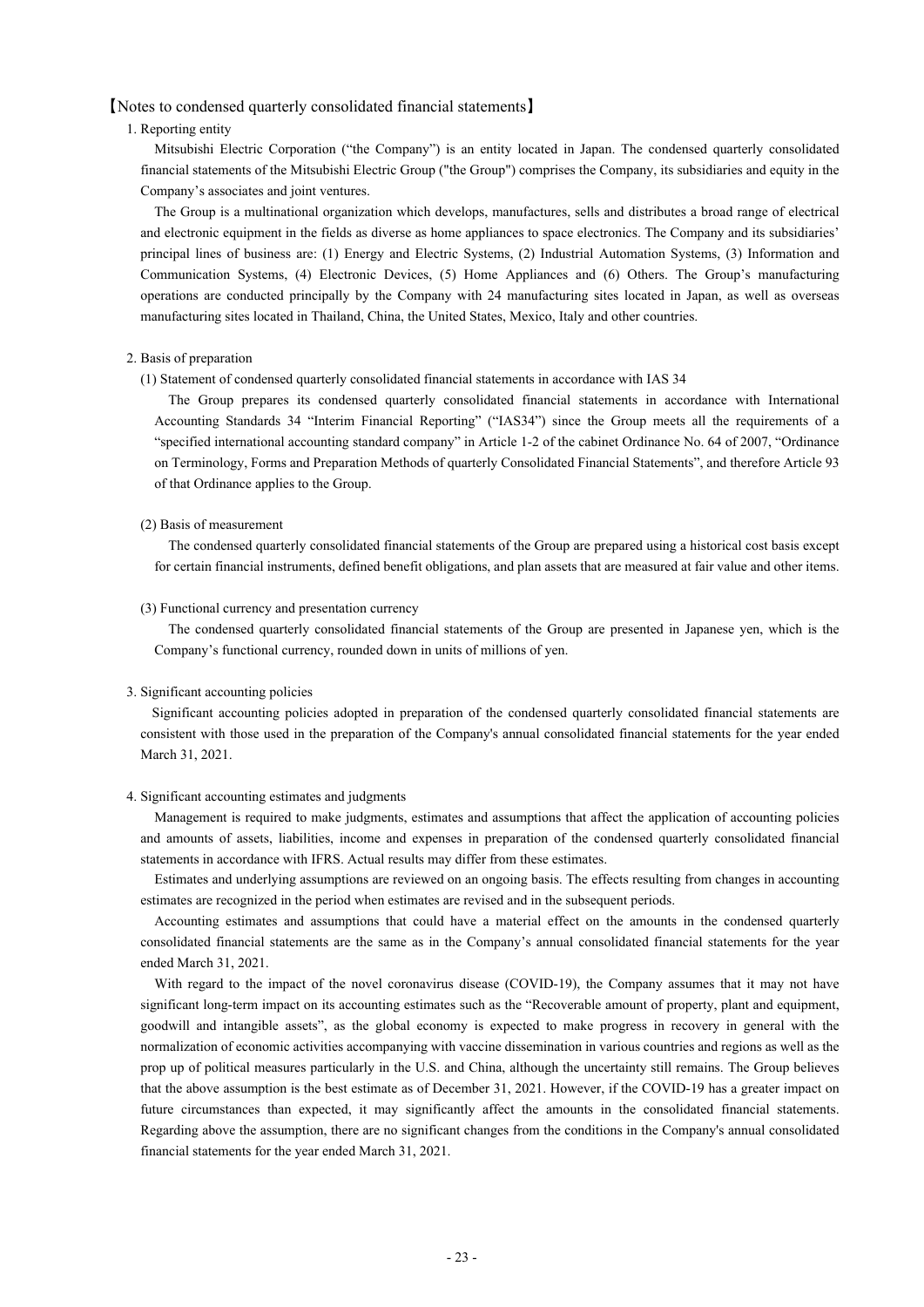## 【Notes to condensed quarterly consolidated financial statements】

## 1. Reporting entity

Mitsubishi Electric Corporation ("the Company") is an entity located in Japan. The condensed quarterly consolidated financial statements of the Mitsubishi Electric Group ("the Group") comprises the Company, its subsidiaries and equity in the Company's associates and joint ventures.

The Group is a multinational organization which develops, manufactures, sells and distributes a broad range of electrical and electronic equipment in the fields as diverse as home appliances to space electronics. The Company and its subsidiaries' principal lines of business are: (1) Energy and Electric Systems, (2) Industrial Automation Systems, (3) Information and Communication Systems, (4) Electronic Devices, (5) Home Appliances and (6) Others. The Group's manufacturing operations are conducted principally by the Company with 24 manufacturing sites located in Japan, as well as overseas manufacturing sites located in Thailand, China, the United States, Mexico, Italy and other countries.

#### 2. Basis of preparation

(1) Statement of condensed quarterly consolidated financial statements in accordance with IAS 34

The Group prepares its condensed quarterly consolidated financial statements in accordance with International Accounting Standards 34 "Interim Financial Reporting" ("IAS34") since the Group meets all the requirements of a "specified international accounting standard company" in Article 1-2 of the cabinet Ordinance No. 64 of 2007, "Ordinance on Terminology, Forms and Preparation Methods of quarterly Consolidated Financial Statements", and therefore Article 93 of that Ordinance applies to the Group.

#### (2) Basis of measurement

The condensed quarterly consolidated financial statements of the Group are prepared using a historical cost basis except for certain financial instruments, defined benefit obligations, and plan assets that are measured at fair value and other items.

#### (3) Functional currency and presentation currency

The condensed quarterly consolidated financial statements of the Group are presented in Japanese yen, which is the Company's functional currency, rounded down in units of millions of yen.

## 3. Significant accounting policies

Significant accounting policies adopted in preparation of the condensed quarterly consolidated financial statements are consistent with those used in the preparation of the Company's annual consolidated financial statements for the year ended March 31, 2021.

#### 4. Significant accounting estimates and judgments

Management is required to make judgments, estimates and assumptions that affect the application of accounting policies and amounts of assets, liabilities, income and expenses in preparation of the condensed quarterly consolidated financial statements in accordance with IFRS. Actual results may differ from these estimates.

Estimates and underlying assumptions are reviewed on an ongoing basis. The effects resulting from changes in accounting estimates are recognized in the period when estimates are revised and in the subsequent periods.

Accounting estimates and assumptions that could have a material effect on the amounts in the condensed quarterly consolidated financial statements are the same as in the Company's annual consolidated financial statements for the year ended March 31, 2021.

With regard to the impact of the novel coronavirus disease (COVID-19), the Company assumes that it may not have significant long-term impact on its accounting estimates such as the "Recoverable amount of property, plant and equipment, goodwill and intangible assets", as the global economy is expected to make progress in recovery in general with the normalization of economic activities accompanying with vaccine dissemination in various countries and regions as well as the prop up of political measures particularly in the U.S. and China, although the uncertainty still remains. The Group believes that the above assumption is the best estimate as of December 31, 2021. However, if the COVID-19 has a greater impact on future circumstances than expected, it may significantly affect the amounts in the consolidated financial statements. Regarding above the assumption, there are no significant changes from the conditions in the Company's annual consolidated financial statements for the year ended March 31, 2021.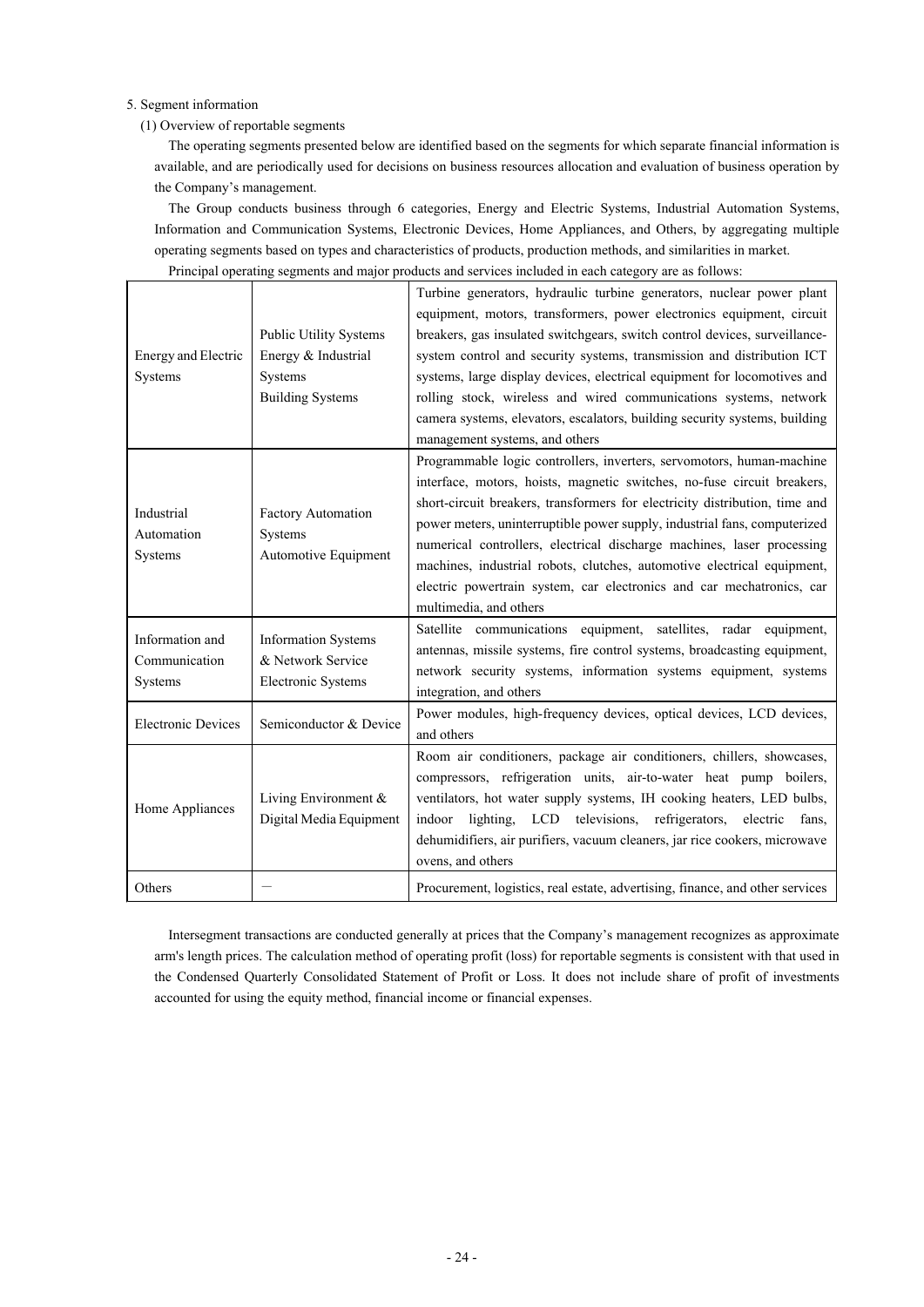## 5. Segment information

## (1) Overview of reportable segments

The operating segments presented below are identified based on the segments for which separate financial information is available, and are periodically used for decisions on business resources allocation and evaluation of business operation by the Company's management.

The Group conducts business through 6 categories, Energy and Electric Systems, Industrial Automation Systems, Information and Communication Systems, Electronic Devices, Home Appliances, and Others, by aggregating multiple operating segments based on types and characteristics of products, production methods, and similarities in market. Principal operating segments and major products and services included in each category are as follows:

| <b>Energy and Electric</b><br>Systems       | <b>Public Utility Systems</b><br>Energy & Industrial<br>Systems<br><b>Building Systems</b> | Turbine generators, hydraulic turbine generators, nuclear power plant<br>equipment, motors, transformers, power electronics equipment, circuit<br>breakers, gas insulated switchgears, switch control devices, surveillance-<br>system control and security systems, transmission and distribution ICT<br>systems, large display devices, electrical equipment for locomotives and<br>rolling stock, wireless and wired communications systems, network<br>camera systems, elevators, escalators, building security systems, building<br>management systems, and others |
|---------------------------------------------|--------------------------------------------------------------------------------------------|-------------------------------------------------------------------------------------------------------------------------------------------------------------------------------------------------------------------------------------------------------------------------------------------------------------------------------------------------------------------------------------------------------------------------------------------------------------------------------------------------------------------------------------------------------------------------|
| Industrial<br>Automation<br>Systems         | Factory Automation<br>Systems<br>Automotive Equipment                                      | Programmable logic controllers, inverters, servomotors, human-machine<br>interface, motors, hoists, magnetic switches, no-fuse circuit breakers,<br>short-circuit breakers, transformers for electricity distribution, time and<br>power meters, uninterruptible power supply, industrial fans, computerized<br>numerical controllers, electrical discharge machines, laser processing<br>machines, industrial robots, clutches, automotive electrical equipment,<br>electric powertrain system, car electronics and car mechatronics, car<br>multimedia, and others    |
| Information and<br>Communication<br>Systems | <b>Information Systems</b><br>& Network Service<br>Electronic Systems                      | equipment, satellites, radar equipment,<br>Satellite communications<br>antennas, missile systems, fire control systems, broadcasting equipment,<br>network security systems, information systems equipment, systems<br>integration, and others                                                                                                                                                                                                                                                                                                                          |
| <b>Electronic Devices</b>                   | Semiconductor & Device                                                                     | Power modules, high-frequency devices, optical devices, LCD devices,<br>and others                                                                                                                                                                                                                                                                                                                                                                                                                                                                                      |
| Home Appliances                             | Living Environment &<br>Digital Media Equipment                                            | Room air conditioners, package air conditioners, chillers, showcases,<br>compressors, refrigeration units, air-to-water heat pump boilers,<br>ventilators, hot water supply systems, IH cooking heaters, LED bulbs,<br>indoor lighting, LCD televisions, refrigerators, electric<br>fans,<br>dehumidifiers, air purifiers, vacuum cleaners, jar rice cookers, microwave<br>ovens, and others                                                                                                                                                                            |
| Others                                      |                                                                                            | Procurement, logistics, real estate, advertising, finance, and other services                                                                                                                                                                                                                                                                                                                                                                                                                                                                                           |

Intersegment transactions are conducted generally at prices that the Company's management recognizes as approximate arm's length prices. The calculation method of operating profit (loss) for reportable segments is consistent with that used in the Condensed Quarterly Consolidated Statement of Profit or Loss. It does not include share of profit of investments accounted for using the equity method, financial income or financial expenses.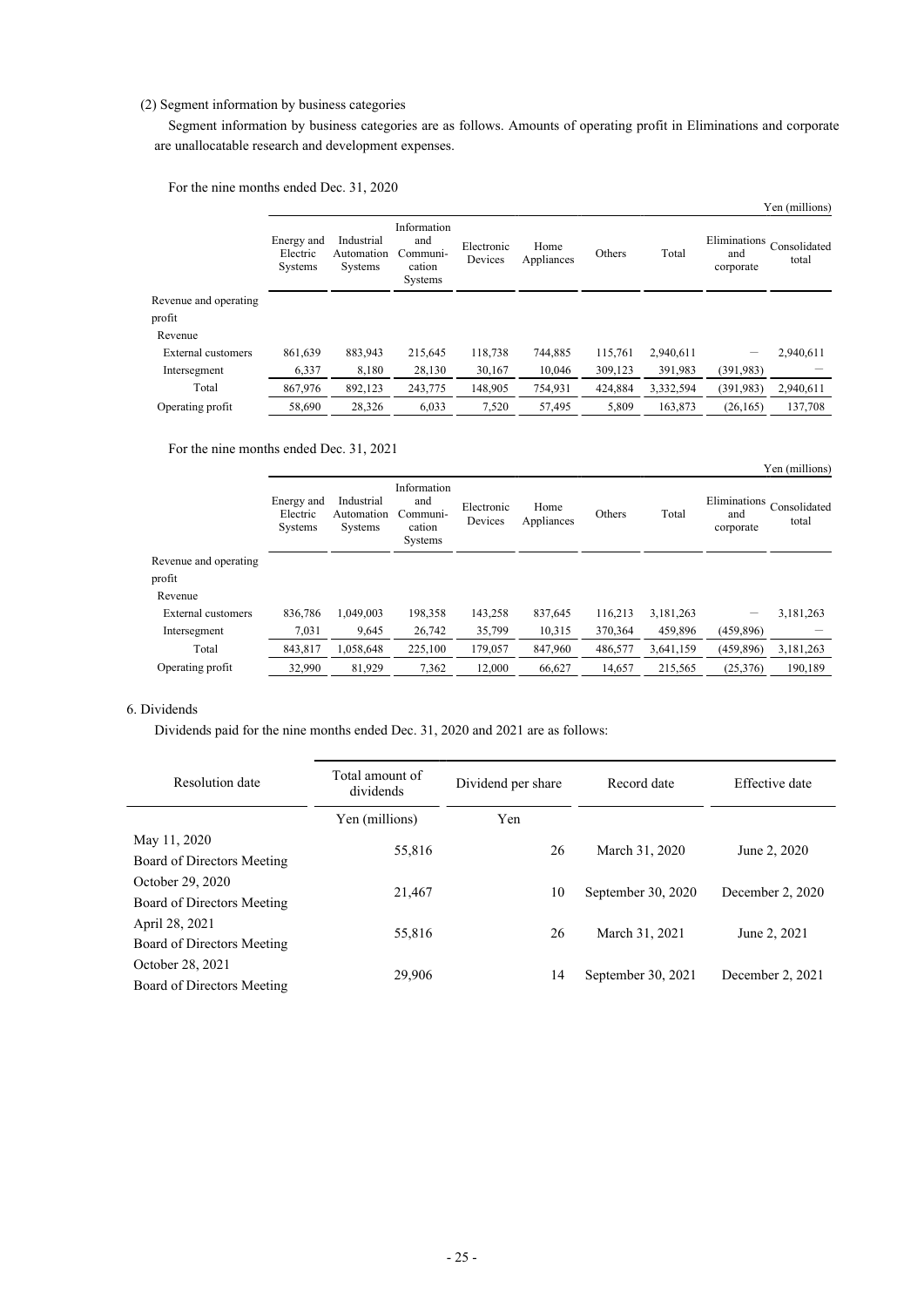## (2) Segment information by business categories

Segment information by business categories are as follows. Amounts of operating profit in Eliminations and corporate are unallocatable research and development expenses.

For the nine months ended Dec. 31, 2020

|                       |                                          |                                     |                                                     |                       |                    |         |           |                                  | Yen (millions)        |
|-----------------------|------------------------------------------|-------------------------------------|-----------------------------------------------------|-----------------------|--------------------|---------|-----------|----------------------------------|-----------------------|
|                       | Energy and<br>Electric<br><b>Systems</b> | Industrial<br>Automation<br>Systems | Information<br>and<br>Communi-<br>cation<br>Systems | Electronic<br>Devices | Home<br>Appliances | Others  | Total     | Eliminations<br>and<br>corporate | Consolidated<br>total |
| Revenue and operating |                                          |                                     |                                                     |                       |                    |         |           |                                  |                       |
| profit                |                                          |                                     |                                                     |                       |                    |         |           |                                  |                       |
| Revenue               |                                          |                                     |                                                     |                       |                    |         |           |                                  |                       |
| External customers    | 861.639                                  | 883.943                             | 215.645                                             | 118,738               | 744,885            | 115,761 | 2,940,611 |                                  | 2.940.611             |
| Intersegment          | 6,337                                    | 8,180                               | 28,130                                              | 30,167                | 10.046             | 309,123 | 391,983   | (391, 983)                       |                       |
| Total                 | 867,976                                  | 892,123                             | 243,775                                             | 148,905               | 754,931            | 424,884 | 3,332,594 | (391, 983)                       | 2,940,611             |
| Operating profit      | 58,690                                   | 28,326                              | 6,033                                               | 7.520                 | 57.495             | 5.809   | 163,873   | (26.165)                         | 137,708               |

For the nine months ended Dec. 31, 2021

|                       |                                   |                                     |                                                     |                       |                    |         |           |                                  | Yen (millions)        |
|-----------------------|-----------------------------------|-------------------------------------|-----------------------------------------------------|-----------------------|--------------------|---------|-----------|----------------------------------|-----------------------|
|                       | Energy and<br>Electric<br>Systems | Industrial<br>Automation<br>Systems | Information<br>and<br>Communi-<br>cation<br>Systems | Electronic<br>Devices | Home<br>Appliances | Others  | Total     | Eliminations<br>and<br>corporate | Consolidated<br>total |
| Revenue and operating |                                   |                                     |                                                     |                       |                    |         |           |                                  |                       |
| profit                |                                   |                                     |                                                     |                       |                    |         |           |                                  |                       |
| Revenue               |                                   |                                     |                                                     |                       |                    |         |           |                                  |                       |
| External customers    | 836,786                           | 1.049.003                           | 198,358                                             | 143,258               | 837,645            | 116,213 | 3,181,263 |                                  | 3,181,263             |
| Intersegment          | 7,031                             | 9,645                               | 26,742                                              | 35,799                | 10,315             | 370,364 | 459,896   | (459, 896)                       |                       |
| Total                 | 843,817                           | 1.058.648                           | 225,100                                             | 179,057               | 847,960            | 486,577 | 3,641,159 | (459, 896)                       | 3,181,263             |
| Operating profit      | 32,990                            | 81,929                              | 7,362                                               | 12,000                | 66,627             | 14,657  | 215,565   | (25,376)                         | 190,189               |
|                       |                                   |                                     |                                                     |                       |                    |         |           |                                  |                       |

## 6. Dividends

Dividends paid for the nine months ended Dec. 31, 2020 and 2021 are as follows:

| Resolution date            | Total amount of<br>dividends | Dividend per share | Record date        | Effective date   |  |
|----------------------------|------------------------------|--------------------|--------------------|------------------|--|
|                            | Yen (millions)               | Yen                |                    |                  |  |
| May 11, 2020               | 55,816                       | 26                 | March 31, 2020     | June 2, 2020     |  |
| Board of Directors Meeting |                              |                    |                    |                  |  |
| October 29, 2020           | 21,467                       | 10                 | September 30, 2020 | December 2, 2020 |  |
| Board of Directors Meeting |                              |                    |                    |                  |  |
| April 28, 2021             | 55,816                       | 26                 | March 31, 2021     | June 2, 2021     |  |
| Board of Directors Meeting |                              |                    |                    |                  |  |
| October 28, 2021           | 29,906                       | 14                 |                    |                  |  |
| Board of Directors Meeting |                              |                    | September 30, 2021 | December 2, 2021 |  |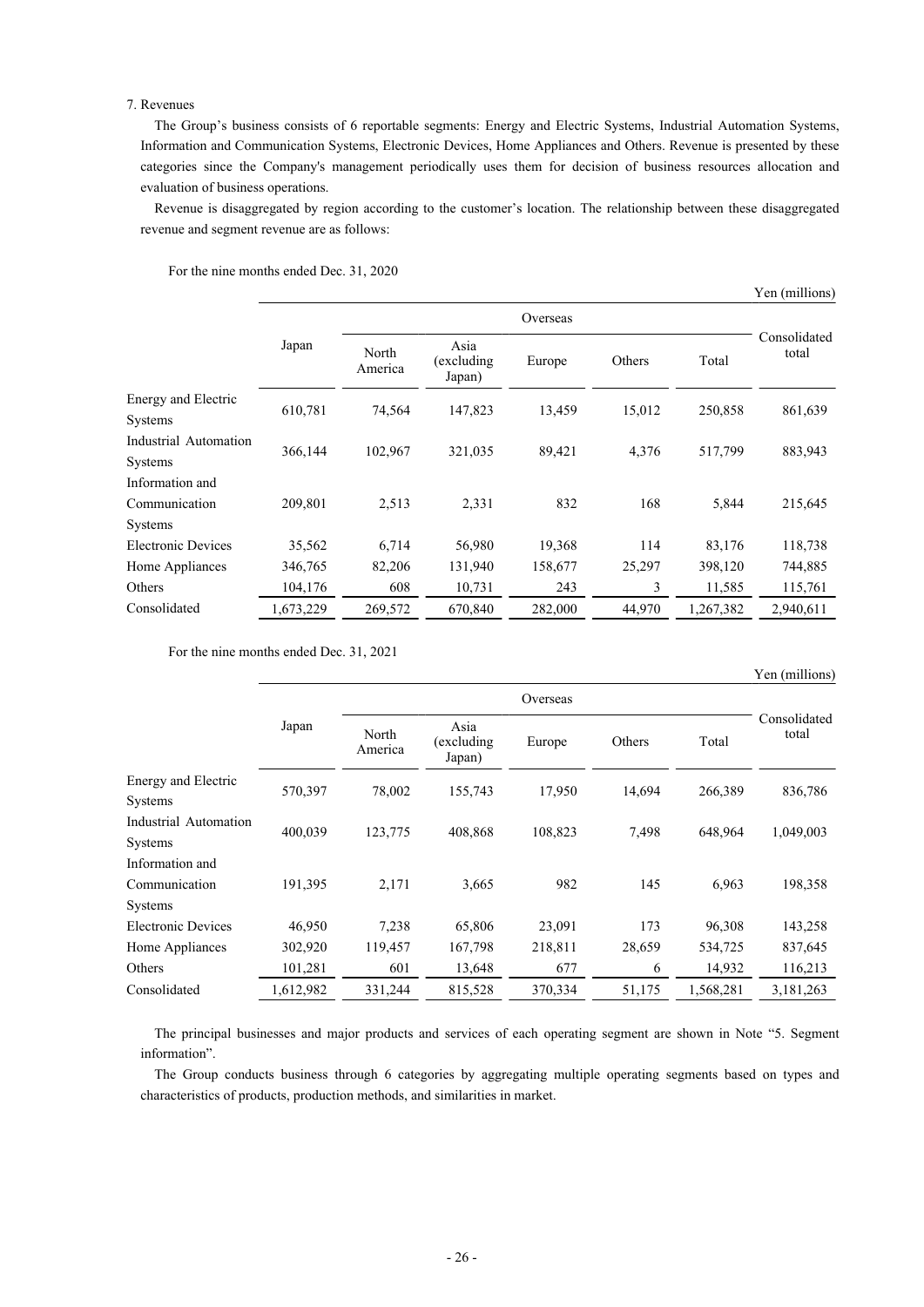## 7. Revenues

The Group's business consists of 6 reportable segments: Energy and Electric Systems, Industrial Automation Systems, Information and Communication Systems, Electronic Devices, Home Appliances and Others. Revenue is presented by these categories since the Company's management periodically uses them for decision of business resources allocation and evaluation of business operations.

Revenue is disaggregated by region according to the customer's location. The relationship between these disaggregated revenue and segment revenue are as follows:

|                           |           | Overseas         |                              |         |        |           |                       |
|---------------------------|-----------|------------------|------------------------------|---------|--------|-----------|-----------------------|
|                           | Japan     | North<br>America | Asia<br>(excluding<br>Japan) | Europe  | Others | Total     | Consolidated<br>total |
| Energy and Electric       |           | 74,564           | 147,823                      | 13,459  | 15,012 | 250,858   |                       |
| Systems                   | 610,781   |                  |                              |         |        |           | 861,639               |
| Industrial Automation     | 366,144   | 102,967          | 321,035                      | 89,421  | 4,376  | 517,799   | 883,943               |
| <b>Systems</b>            |           |                  |                              |         |        |           |                       |
| Information and           |           |                  |                              |         |        |           |                       |
| Communication             | 209,801   | 2,513            | 2,331                        | 832     | 168    | 5,844     | 215,645               |
| <b>Systems</b>            |           |                  |                              |         |        |           |                       |
| <b>Electronic Devices</b> | 35,562    | 6,714            | 56,980                       | 19,368  | 114    | 83,176    | 118,738               |
| Home Appliances           | 346,765   | 82,206           | 131,940                      | 158,677 | 25,297 | 398,120   | 744,885               |
| Others                    | 104,176   | 608              | 10,731                       | 243     | 3      | 11,585    | 115,761               |
| Consolidated              | 1,673,229 | 269,572          | 670,840                      | 282,000 | 44,970 | 1.267.382 | 2.940.611             |

For the nine months ended Dec. 31, 2020

For the nine months ended Dec. 31, 2021

Japan Overseas Consolidated North Bista<br>(eventure Europe Others Total total America Asia (excluding Japan) Europe Others Total Energy and Electric Systems 570,397 78,002 155,743 17,950 14,694 266,389 836,786 Industrial Automation Systems 400,039 123,775 408,868 108,823 7,498 648,964 1,049,003 Information and Communication Systems 191,395 2,171 3,665 982 145 6,963 198,358 Electronic Devices 46,950 7,238 65,806 23,091 173 96,308 143,258 Home Appliances 302,920 119,457 167,798 218,811 28,659 534,725 837,645 Others 101,281 601 13,648 677 6 14,932 116,213 Consolidated 1,612,982 331,244 815,528 370,334 51,175 1,568,281 3,181,263

The principal businesses and major products and services of each operating segment are shown in Note "5. Segment information".

The Group conducts business through 6 categories by aggregating multiple operating segments based on types and characteristics of products, production methods, and similarities in market.

Yen (millions)

Yen (millions)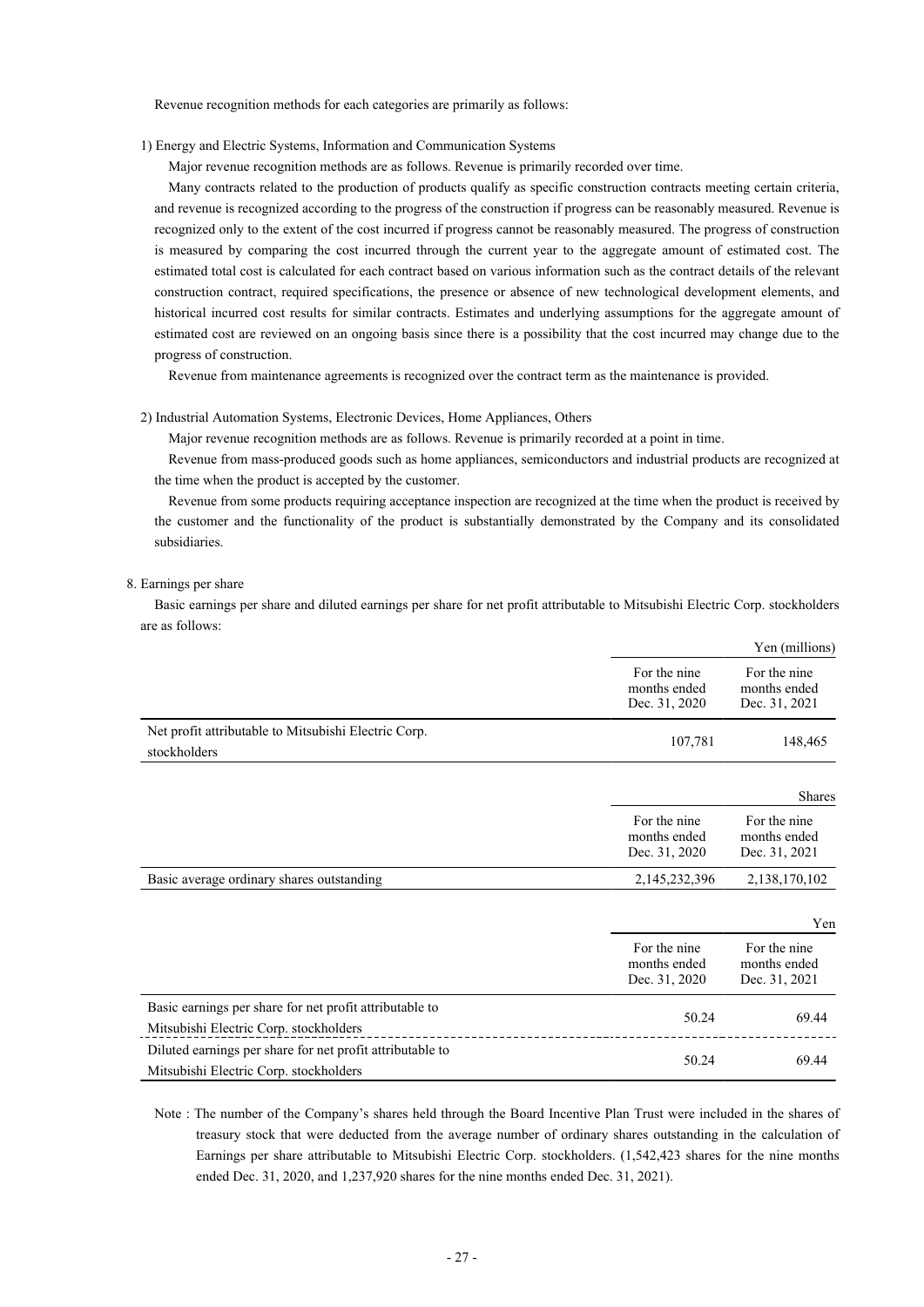Revenue recognition methods for each categories are primarily as follows:

1) Energy and Electric Systems, Information and Communication Systems

Major revenue recognition methods are as follows. Revenue is primarily recorded over time.

Many contracts related to the production of products qualify as specific construction contracts meeting certain criteria, and revenue is recognized according to the progress of the construction if progress can be reasonably measured. Revenue is recognized only to the extent of the cost incurred if progress cannot be reasonably measured. The progress of construction is measured by comparing the cost incurred through the current year to the aggregate amount of estimated cost. The estimated total cost is calculated for each contract based on various information such as the contract details of the relevant construction contract, required specifications, the presence or absence of new technological development elements, and historical incurred cost results for similar contracts. Estimates and underlying assumptions for the aggregate amount of estimated cost are reviewed on an ongoing basis since there is a possibility that the cost incurred may change due to the progress of construction.

Revenue from maintenance agreements is recognized over the contract term as the maintenance is provided.

## 2) Industrial Automation Systems, Electronic Devices, Home Appliances, Others

Major revenue recognition methods are as follows. Revenue is primarily recorded at a point in time.

Revenue from mass-produced goods such as home appliances, semiconductors and industrial products are recognized at the time when the product is accepted by the customer.

Revenue from some products requiring acceptance inspection are recognized at the time when the product is received by the customer and the functionality of the product is substantially demonstrated by the Company and its consolidated subsidiaries.

## 8. Earnings per share

Basic earnings per share and diluted earnings per share for net profit attributable to Mitsubishi Electric Corp. stockholders are as follows:

|                                                                                                     |                                               | Yen (millions)                                |
|-----------------------------------------------------------------------------------------------------|-----------------------------------------------|-----------------------------------------------|
|                                                                                                     | For the nine<br>months ended<br>Dec. 31, 2020 | For the nine<br>months ended<br>Dec. 31, 2021 |
| Net profit attributable to Mitsubishi Electric Corp.<br>stockholders                                | 107,781                                       | 148,465                                       |
|                                                                                                     |                                               | <b>Shares</b>                                 |
|                                                                                                     | For the nine<br>months ended<br>Dec. 31, 2020 | For the nine<br>months ended<br>Dec. 31, 2021 |
| Basic average ordinary shares outstanding                                                           | 2,145,232,396                                 | 2,138,170,102                                 |
|                                                                                                     |                                               | Yen                                           |
|                                                                                                     | For the nine<br>months ended<br>Dec. 31, 2020 | For the nine<br>months ended<br>Dec. 31, 2021 |
| Basic earnings per share for net profit attributable to<br>Mitsubishi Electric Corp. stockholders   | 50.24                                         | 69.44                                         |
| Diluted earnings per share for net profit attributable to<br>Mitsubishi Electric Corp. stockholders | 50.24                                         | 69.44                                         |

Note : The number of the Company's shares held through the Board Incentive Plan Trust were included in the shares of treasury stock that were deducted from the average number of ordinary shares outstanding in the calculation of Earnings per share attributable to Mitsubishi Electric Corp. stockholders. (1,542,423 shares for the nine months ended Dec. 31, 2020, and 1,237,920 shares for the nine months ended Dec. 31, 2021).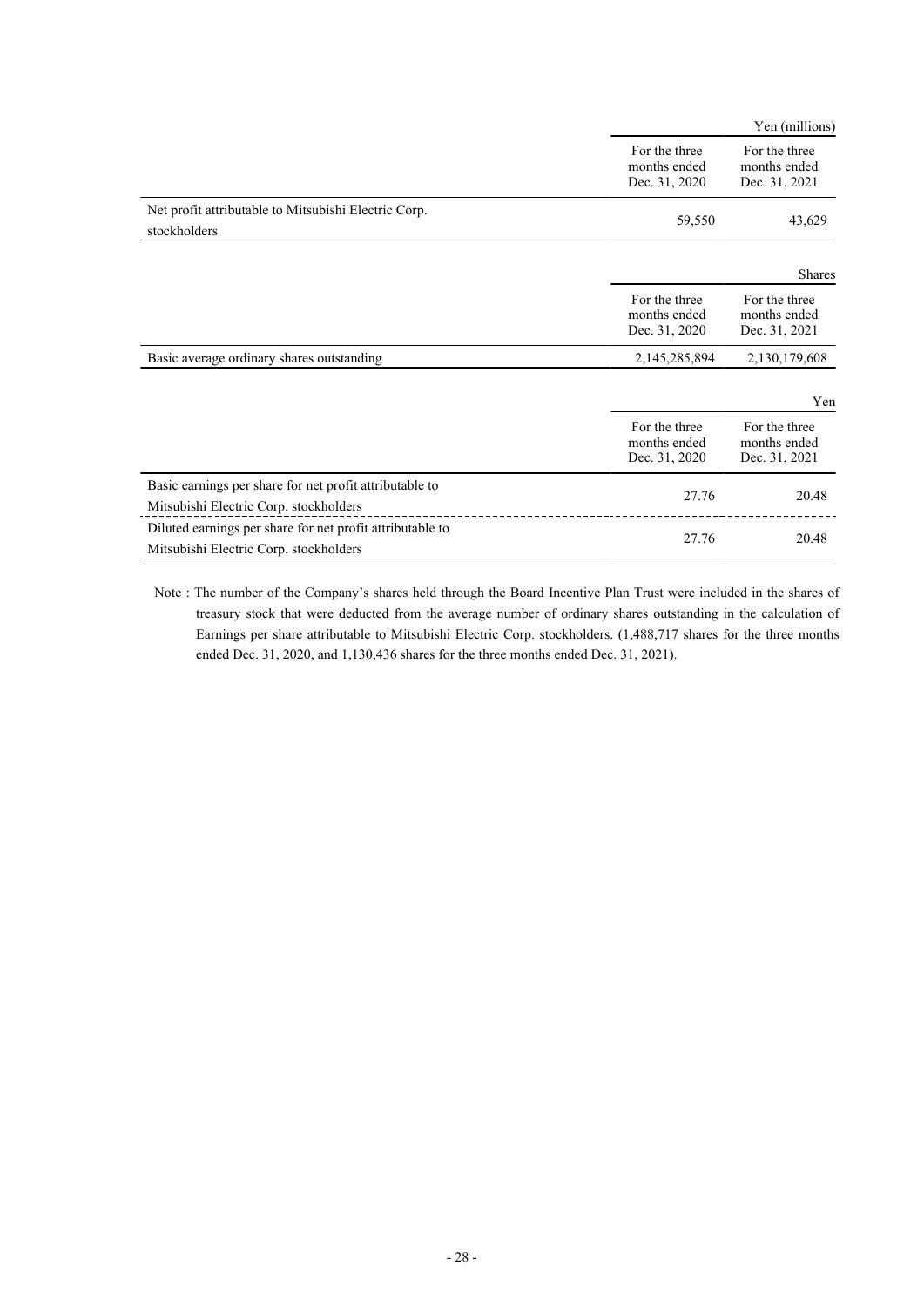|                                                                                                     |                                                | Yen (millions)                                 |
|-----------------------------------------------------------------------------------------------------|------------------------------------------------|------------------------------------------------|
|                                                                                                     | For the three<br>months ended<br>Dec. 31, 2020 | For the three<br>months ended<br>Dec. 31, 2021 |
| Net profit attributable to Mitsubishi Electric Corp.<br>stockholders                                | 59,550                                         | 43,629                                         |
|                                                                                                     |                                                | <b>Shares</b>                                  |
|                                                                                                     | For the three<br>months ended<br>Dec. 31, 2020 | For the three<br>months ended<br>Dec. 31, 2021 |
| Basic average ordinary shares outstanding                                                           | 2,145,285,894                                  | 2,130,179,608                                  |
|                                                                                                     |                                                | Yen                                            |
|                                                                                                     | For the three<br>months ended<br>Dec. 31, 2020 | For the three<br>months ended<br>Dec. 31, 2021 |
| Basic earnings per share for net profit attributable to<br>Mitsubishi Electric Corp. stockholders   | 27.76                                          | 20.48                                          |
| Diluted earnings per share for net profit attributable to<br>Mitsubishi Electric Corp. stockholders | 27.76                                          | 20.48                                          |

Note : The number of the Company's shares held through the Board Incentive Plan Trust were included in the shares of treasury stock that were deducted from the average number of ordinary shares outstanding in the calculation of Earnings per share attributable to Mitsubishi Electric Corp. stockholders. (1,488,717 shares for the three months ended Dec. 31, 2020, and 1,130,436 shares for the three months ended Dec. 31, 2021).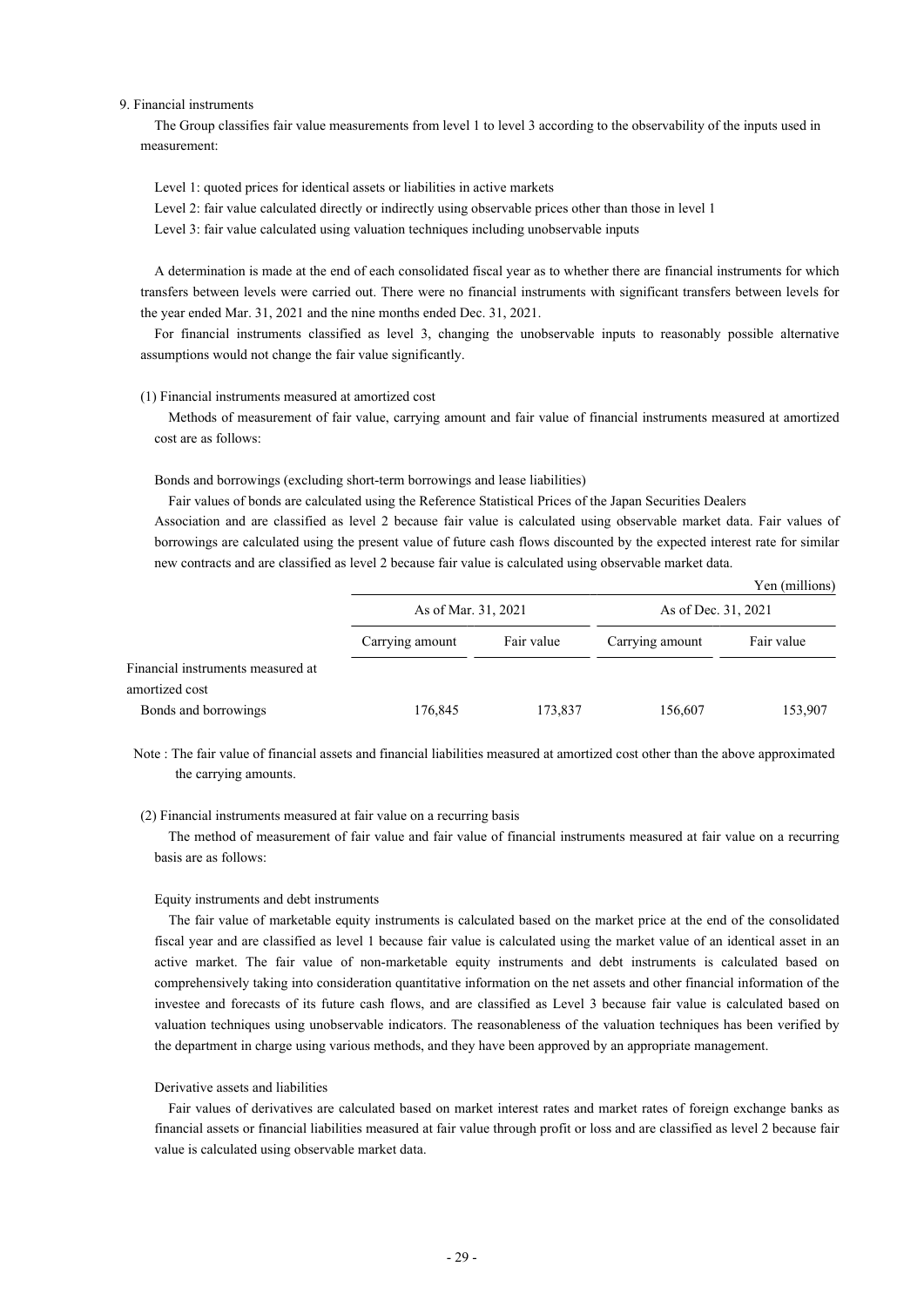#### 9. Financial instruments

The Group classifies fair value measurements from level 1 to level 3 according to the observability of the inputs used in measurement:

Level 1: quoted prices for identical assets or liabilities in active markets

Level 2: fair value calculated directly or indirectly using observable prices other than those in level 1

Level 3: fair value calculated using valuation techniques including unobservable inputs

A determination is made at the end of each consolidated fiscal year as to whether there are financial instruments for which transfers between levels were carried out. There were no financial instruments with significant transfers between levels for the year ended Mar. 31, 2021 and the nine months ended Dec. 31, 2021.

For financial instruments classified as level 3, changing the unobservable inputs to reasonably possible alternative assumptions would not change the fair value significantly.

## (1) Financial instruments measured at amortized cost

Methods of measurement of fair value, carrying amount and fair value of financial instruments measured at amortized cost are as follows:

#### Bonds and borrowings (excluding short-term borrowings and lease liabilities)

Fair values of bonds are calculated using the Reference Statistical Prices of the Japan Securities Dealers

Association and are classified as level 2 because fair value is calculated using observable market data. Fair values of borrowings are calculated using the present value of future cash flows discounted by the expected interest rate for similar new contracts and are classified as level 2 because fair value is calculated using observable market data.

|                                   |                 |                     |                 | Yen (millions)      |
|-----------------------------------|-----------------|---------------------|-----------------|---------------------|
|                                   |                 | As of Mar. 31, 2021 |                 | As of Dec. 31, 2021 |
|                                   | Carrying amount | Fair value          | Carrying amount | Fair value          |
| Financial instruments measured at |                 |                     |                 |                     |
| amortized cost                    |                 |                     |                 |                     |
| Bonds and borrowings              | 176,845         | 173,837             | 156,607         | 153,907             |

Note : The fair value of financial assets and financial liabilities measured at amortized cost other than the above approximated the carrying amounts.

## (2) Financial instruments measured at fair value on a recurring basis

The method of measurement of fair value and fair value of financial instruments measured at fair value on a recurring basis are as follows:

#### Equity instruments and debt instruments

The fair value of marketable equity instruments is calculated based on the market price at the end of the consolidated fiscal year and are classified as level 1 because fair value is calculated using the market value of an identical asset in an active market. The fair value of non-marketable equity instruments and debt instruments is calculated based on comprehensively taking into consideration quantitative information on the net assets and other financial information of the investee and forecasts of its future cash flows, and are classified as Level 3 because fair value is calculated based on valuation techniques using unobservable indicators. The reasonableness of the valuation techniques has been verified by the department in charge using various methods, and they have been approved by an appropriate management.

## Derivative assets and liabilities

Fair values of derivatives are calculated based on market interest rates and market rates of foreign exchange banks as financial assets or financial liabilities measured at fair value through profit or loss and are classified as level 2 because fair value is calculated using observable market data.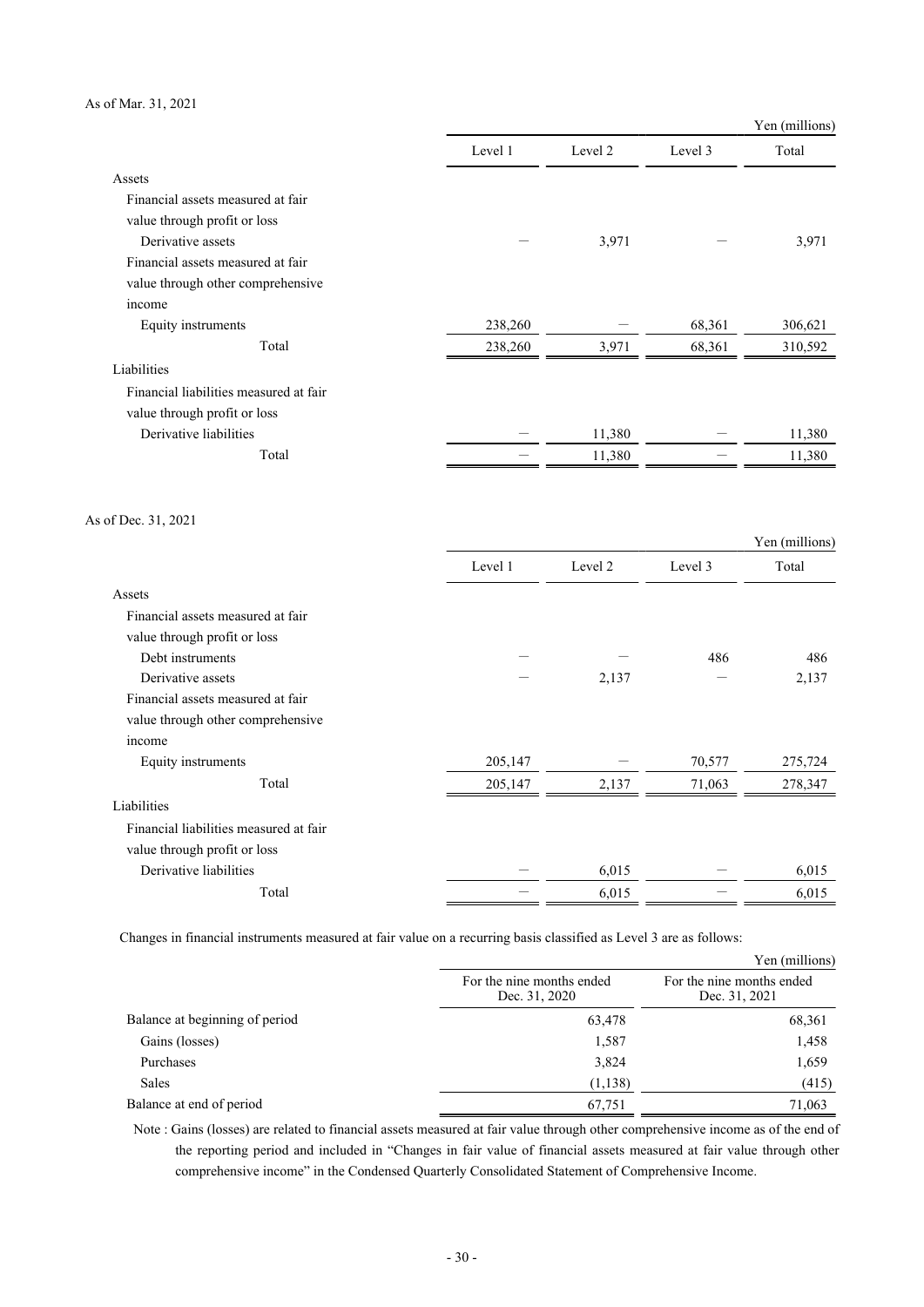## As of Mar. 31, 2021

|                                        |         |         |         | Yen (millions) |
|----------------------------------------|---------|---------|---------|----------------|
|                                        | Level 1 | Level 2 | Level 3 | Total          |
| Assets                                 |         |         |         |                |
| Financial assets measured at fair      |         |         |         |                |
| value through profit or loss           |         |         |         |                |
| Derivative assets                      |         | 3,971   |         | 3,971          |
| Financial assets measured at fair      |         |         |         |                |
| value through other comprehensive      |         |         |         |                |
| income                                 |         |         |         |                |
| Equity instruments                     | 238,260 |         | 68,361  | 306,621        |
| Total                                  | 238,260 | 3,971   | 68,361  | 310,592        |
| Liabilities                            |         |         |         |                |
| Financial liabilities measured at fair |         |         |         |                |
| value through profit or loss           |         |         |         |                |
| Derivative liabilities                 |         | 11,380  |         | 11,380         |
| Total                                  |         | 11,380  |         | 11,380         |
| As of Dec. 31, 2021                    |         |         |         |                |
|                                        |         |         |         | Yen (millions) |
|                                        | Level 1 | Level 2 | Level 3 | Total          |
| Assets                                 |         |         |         |                |
| Financial assets measured at fair      |         |         |         |                |
| value through profit or loss           |         |         |         |                |
| Debt instruments                       |         |         | 486     | 486            |
| Derivative assets                      |         | 2,137   |         | 2,137          |
| Financial assets measured at fair      |         |         |         |                |
| value through other comprehensive      |         |         |         |                |
| income                                 |         |         |         |                |
| Equity instruments                     | 205,147 |         | 70,577  | 275,724        |
| Total                                  | 205,147 | 2,137   | 71,063  | 278,347        |
| Liabilities                            |         |         |         |                |
| Financial liabilities measured at fair |         |         |         |                |
| value through profit or loss           |         |         |         |                |
| Derivative liabilities                 |         | 6,015   |         | 6,015          |
| Total                                  |         | 6,015   |         | 6,015          |

Changes in financial instruments measured at fair value on a recurring basis classified as Level 3 are as follows:

|                                |                                            | Yen (millions)                             |
|--------------------------------|--------------------------------------------|--------------------------------------------|
|                                | For the nine months ended<br>Dec. 31, 2020 | For the nine months ended<br>Dec. 31, 2021 |
| Balance at beginning of period | 63,478                                     | 68,361                                     |
| Gains (losses)                 | 1,587                                      | 1,458                                      |
| Purchases                      | 3,824                                      | 1,659                                      |
| Sales                          | (1,138)                                    | (415)                                      |
| Balance at end of period       | 67,751                                     | 71,063                                     |

Note : Gains (losses) are related to financial assets measured at fair value through other comprehensive income as of the end of the reporting period and included in "Changes in fair value of financial assets measured at fair value through other comprehensive income" in the Condensed Quarterly Consolidated Statement of Comprehensive Income.